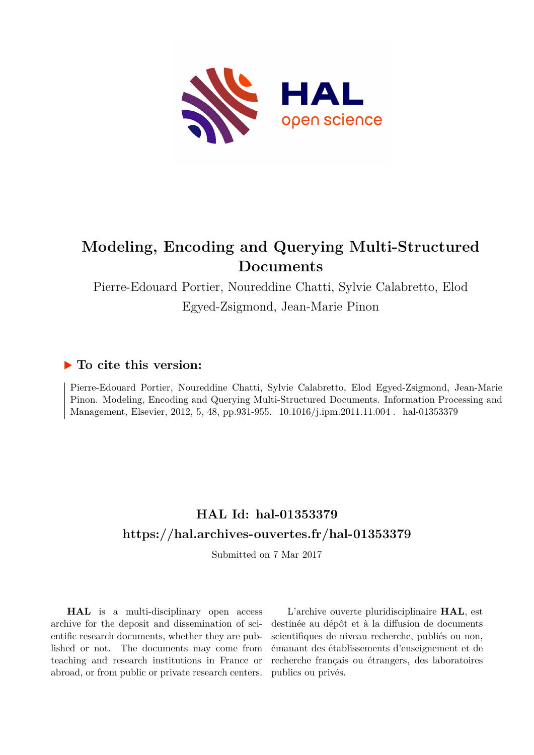

## **Modeling, Encoding and Querying Multi-Structured Documents**

Pierre-Edouard Portier, Noureddine Chatti, Sylvie Calabretto, Elod Egyed-Zsigmond, Jean-Marie Pinon

## **To cite this version:**

Pierre-Edouard Portier, Noureddine Chatti, Sylvie Calabretto, Elod Egyed-Zsigmond, Jean-Marie Pinon. Modeling, Encoding and Querying Multi-Structured Documents. Information Processing and Management, Elsevier, 2012, 5, 48, pp.931-955. 10.1016/j.ipm.2011.11.004. hal-01353379

## **HAL Id: hal-01353379 <https://hal.archives-ouvertes.fr/hal-01353379>**

Submitted on 7 Mar 2017

**HAL** is a multi-disciplinary open access archive for the deposit and dissemination of scientific research documents, whether they are published or not. The documents may come from teaching and research institutions in France or abroad, or from public or private research centers.

L'archive ouverte pluridisciplinaire **HAL**, est destinée au dépôt et à la diffusion de documents scientifiques de niveau recherche, publiés ou non, émanant des établissements d'enseignement et de recherche français ou étrangers, des laboratoires publics ou privés.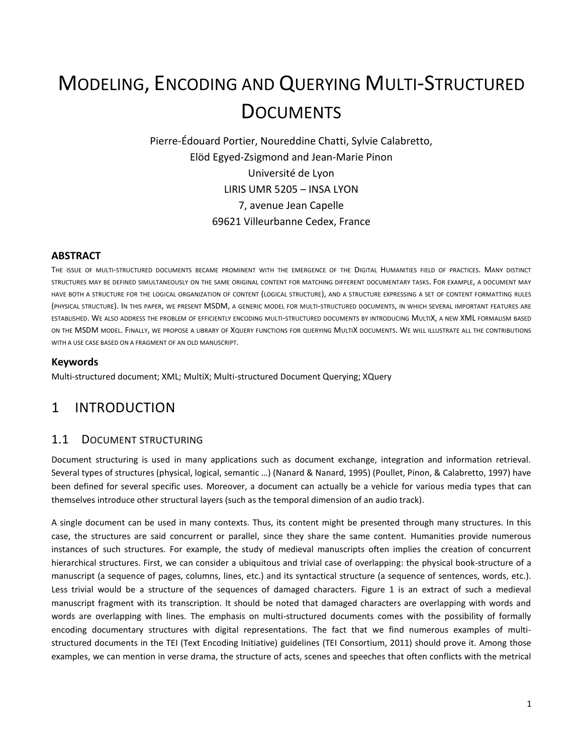# MODELING, ENCODING AND QUERYING MULTI-STRUCTURED **DOCUMENTS**

Pierre-Édouard Portier, Noureddine Chatti, Sylvie Calabretto, Elöd Egyed-Zsigmond and Jean-Marie Pinon Université de Lyon LIRIS UMR 5205 – INSA LYON 7, avenue Jean Capelle 69621 Villeurbanne Cedex, France

#### **ABSTRACT**

THE ISSUE OF MULTI-STRUCTURED DOCUMENTS BECAME PROMINENT WITH THE EMERGENCE OF THE DIGITAL HUMANITIES FIELD OF PRACTICES. MANY DISTINCT STRUCTURES MAY BE DEFINED SIMULTANEOUSLY ON THE SAME ORIGINAL CONTENT FOR MATCHING DIFFERENT DOCUMENTARY TASKS. FOR EXAMPLE, A DOCUMENT MAY HAVE BOTH A STRUCTURE FOR THE LOGICAL ORGANIZATION OF CONTENT (LOGICAL STRUCTURE), AND A STRUCTURE EXPRESSING A SET OF CONTENT FORMATTING RULES (PHYSICAL STRUCTURE). IN THIS PAPER, WE PRESENT MSDM, A GENERIC MODEL FOR MULTI-STRUCTURED DOCUMENTS, IN WHICH SEVERAL IMPORTANT FEATURES ARE ESTABLISHED. WE ALSO ADDRESS THE PROBLEM OF EFFICIENTLY ENCODING MULTI-STRUCTURED DOCUMENTS BY INTRODUCING MULTIX, A NEW XML FORMALISM BASED ON THE MSDM MODEL. FINALLY, WE PROPOSE A LIBRARY OF XQUERY FUNCTIONS FOR QUERYING MULTIX DOCUMENTS. WE WILL ILLUSTRATE ALL THE CONTRIBUTIONS WITH A USE CASE BASED ON A FRAGMENT OF AN OLD MANUSCRIPT.

#### **Keywords**

Multi-structured document; XML; MultiX; Multi-structured Document Querying; XQuery

## 1 INTRODUCTION

## 1.1 DOCUMENT STRUCTURING

Document structuring is used in many applications such as document exchange, integration and information retrieval. Several types of structures (physical, logical, semantic …) (Nanard & Nanard, 1995) (Poullet, Pinon, & Calabretto, 1997) have been defined for several specific uses. Moreover, a document can actually be a vehicle for various media types that can themselves introduce other structural layers (such as the temporal dimension of an audio track).

A single document can be used in many contexts. Thus, its content might be presented through many structures. In this case, the structures are said concurrent or parallel, since they share the same content. Humanities provide numerous instances of such structures. For example, the study of medieval manuscripts often implies the creation of concurrent hierarchical structures. First, we can consider a ubiquitous and trivial case of overlapping: the physical book-structure of a manuscript (a sequence of pages, columns, lines, etc.) and its syntactical structure (a sequence of sentences, words, etc.). Less trivial would be a structure of the sequences of damaged characters. [Figure 1](#page-2-0) is an extract of such a medieval manuscript fragment with its transcription. It should be noted that damaged characters are overlapping with words and words are overlapping with lines. The emphasis on multi-structured documents comes with the possibility of formally encoding documentary structures with digital representations. The fact that we find numerous examples of multistructured documents in the TEI (Text Encoding Initiative) guidelines (TEI Consortium, 2011) should prove it. Among those examples, we can mention in verse drama, the structure of acts, scenes and speeches that often conflicts with the metrical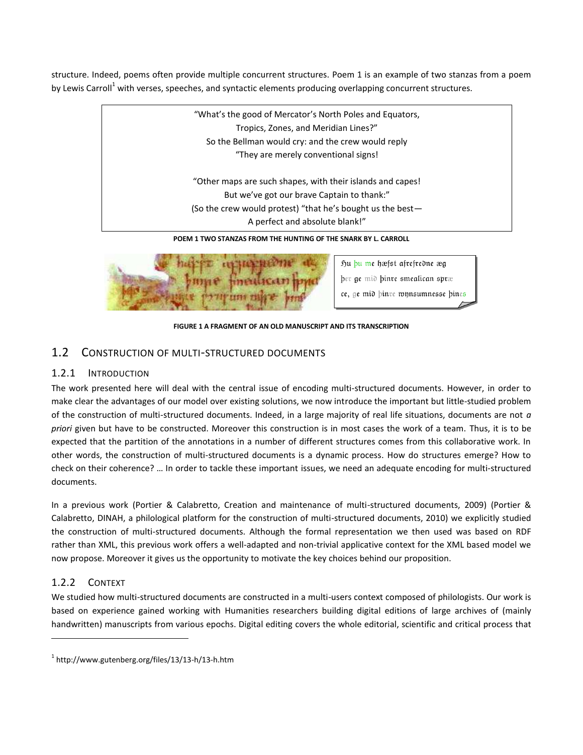structure. Indeed, poems often provide multiple concurrent structures. [Poem 1](#page-2-1) is an example of two stanzas from a poem by Lewis Carroll<sup>1</sup> with verses, speeches, and syntactic elements producing overlapping concurrent structures.

> **POEM 1 TWO STANZAS FROM THE HUNTING OF THE SNARK BY L. CARROLL** "What's the good of Mercator's North Poles and Equators, Tropics, Zones, and Meridian Lines?" So the Bellman would cry: and the crew would reply "They are merely conventional signs! "Other maps are such shapes, with their islands and capes! But we've got our brave Captain to thank:" (So the crew would protest) "that he's bought us the best— A perfect and absolute blank!"

<span id="page-2-1"></span>

hu bu me hæfst afrefredne æg ber ge mid binre smealican spræ ce, ge mid binre wynsumnesse bines

**FIGURE 1 A FRAGMENT OF AN OLD MANUSCRIPT AND ITS TRANSCRIPTION**

## <span id="page-2-0"></span>1.2 CONSTRUCTION OF MULTI-STRUCTURED DOCUMENTS

## 1.2.1 INTRODUCTION

The work presented here will deal with the central issue of encoding multi-structured documents. However, in order to make clear the advantages of our model over existing solutions, we now introduce the important but little-studied problem of the construction of multi-structured documents. Indeed, in a large majority of real life situations, documents are not *a priori* given but have to be constructed. Moreover this construction is in most cases the work of a team. Thus, it is to be expected that the partition of the annotations in a number of different structures comes from this collaborative work. In other words, the construction of multi-structured documents is a dynamic process. How do structures emerge? How to check on their coherence? … In order to tackle these important issues, we need an adequate encoding for multi-structured documents.

In a previous work (Portier & Calabretto, Creation and maintenance of multi-structured documents, 2009) (Portier & Calabretto, DINAH, a philological platform for the construction of multi-structured documents, 2010) we explicitly studied the construction of multi-structured documents. Although the formal representation we then used was based on RDF rather than XML, this previous work offers a well-adapted and non-trivial applicative context for the XML based model we now propose. Moreover it gives us the opportunity to motivate the key choices behind our proposition.

## 1.2.2 CONTEXT

 $\overline{a}$ 

We studied how multi-structured documents are constructed in a multi-users context composed of philologists. Our work is based on experience gained working with Humanities researchers building digital editions of large archives of (mainly handwritten) manuscripts from various epochs. Digital editing covers the whole editorial, scientific and critical process that

 $^1$  http://www.gutenberg.org/files/13/13-h/13-h.htm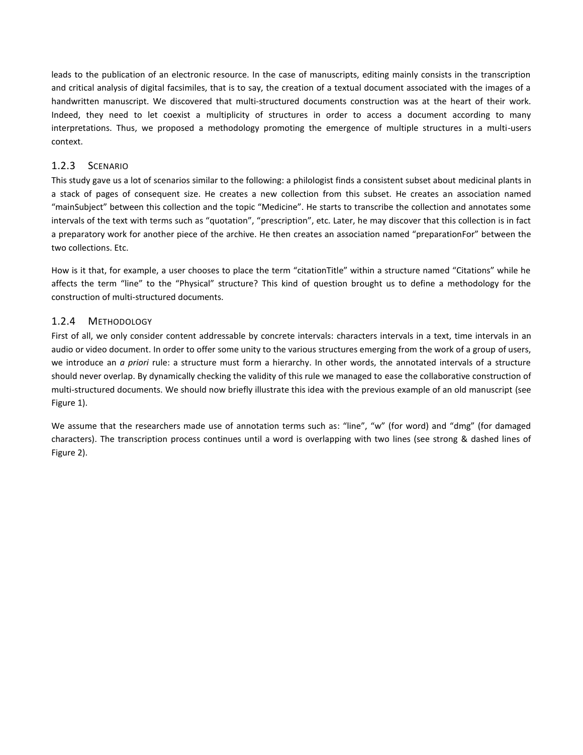leads to the publication of an electronic resource. In the case of manuscripts, editing mainly consists in the transcription and critical analysis of digital facsimiles, that is to say, the creation of a textual document associated with the images of a handwritten manuscript. We discovered that multi-structured documents construction was at the heart of their work. Indeed, they need to let coexist a multiplicity of structures in order to access a document according to many interpretations. Thus, we proposed a methodology promoting the emergence of multiple structures in a multi-users context.

### 1.2.3 SCENARIO

This study gave us a lot of scenarios similar to the following: a philologist finds a consistent subset about medicinal plants in a stack of pages of consequent size. He creates a new collection from this subset. He creates an association named "mainSubject" between this collection and the topic "Medicine". He starts to transcribe the collection and annotates some intervals of the text with terms such as "quotation", "prescription", etc. Later, he may discover that this collection is in fact a preparatory work for another piece of the archive. He then creates an association named "preparationFor" between the two collections. Etc.

How is it that, for example, a user chooses to place the term "citationTitle" within a structure named "Citations" while he affects the term "line" to the "Physical" structure? This kind of question brought us to define a methodology for the construction of multi-structured documents.

## 1.2.4 METHODOLOGY

First of all, we only consider content addressable by concrete intervals: characters intervals in a text, time intervals in an audio or video document. In order to offer some unity to the various structures emerging from the work of a group of users, we introduce an *a priori* rule: a structure must form a hierarchy. In other words, the annotated intervals of a structure should never overlap. By dynamically checking the validity of this rule we managed to ease the collaborative construction of multi-structured documents. We should now briefly illustrate this idea with the previous example of an old manuscript (see [Figure 1\)](#page-2-0).

We assume that the researchers made use of annotation terms such as: "line", "w" (for word) and "dmg" (for damaged characters). The transcription process continues until a word is overlapping with two lines (see strong & dashed lines of [Figure 2\)](#page-4-0).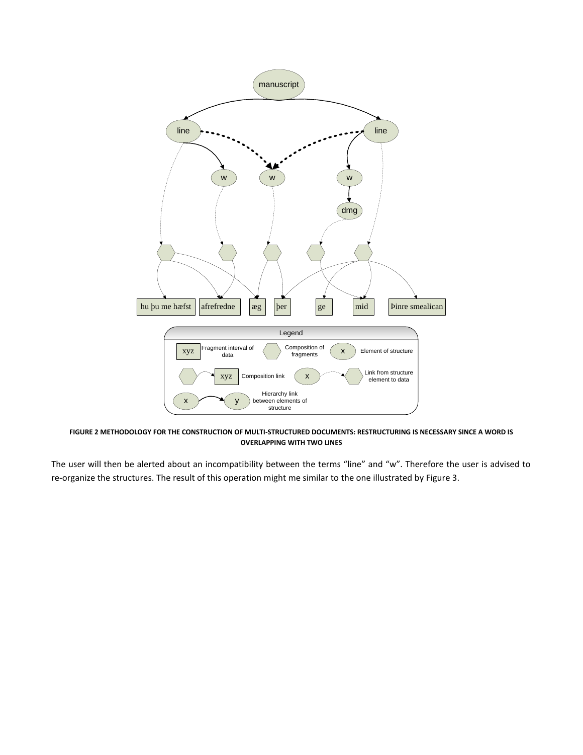

<span id="page-4-0"></span>**FIGURE 2 METHODOLOGY FOR THE CONSTRUCTION OF MULTI-STRUCTURED DOCUMENTS: RESTRUCTURING IS NECESSARY SINCE A WORD IS OVERLAPPING WITH TWO LINES**

The user will then be alerted about an incompatibility between the terms "line" and "w". Therefore the user is advised to re-organize the structures. The result of this operation might me similar to the one illustrated by [Figure 3.](#page-5-0)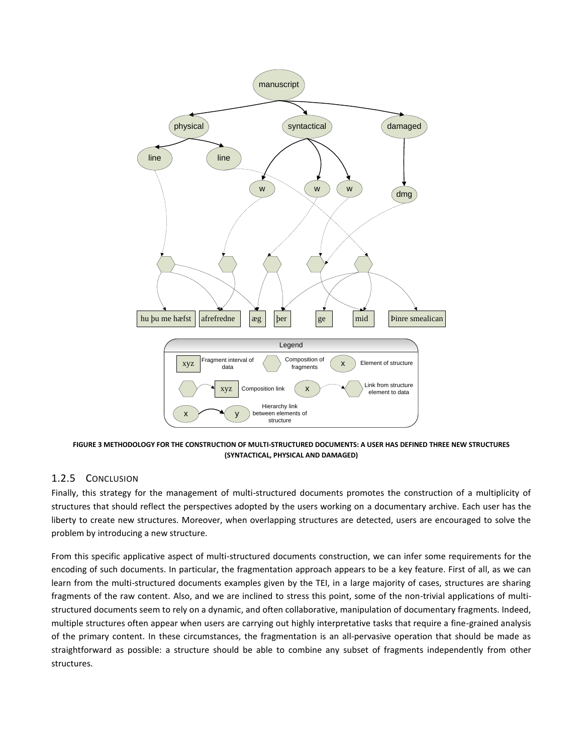

<span id="page-5-0"></span>**FIGURE 3 METHODOLOGY FOR THE CONSTRUCTION OF MULTI-STRUCTURED DOCUMENTS: A USER HAS DEFINED THREE NEW STRUCTURES (SYNTACTICAL, PHYSICAL AND DAMAGED)**

### <span id="page-5-1"></span>1.2.5 CONCLUSION

Finally, this strategy for the management of multi-structured documents promotes the construction of a multiplicity of structures that should reflect the perspectives adopted by the users working on a documentary archive. Each user has the liberty to create new structures. Moreover, when overlapping structures are detected, users are encouraged to solve the problem by introducing a new structure.

From this specific applicative aspect of multi-structured documents construction, we can infer some requirements for the encoding of such documents. In particular, the fragmentation approach appears to be a key feature. First of all, as we can learn from the multi-structured documents examples given by the TEI, in a large majority of cases, structures are sharing fragments of the raw content. Also, and we are inclined to stress this point, some of the non-trivial applications of multistructured documents seem to rely on a dynamic, and often collaborative, manipulation of documentary fragments. Indeed, multiple structures often appear when users are carrying out highly interpretative tasks that require a fine-grained analysis of the primary content. In these circumstances, the fragmentation is an all-pervasive operation that should be made as straightforward as possible: a structure should be able to combine any subset of fragments independently from other structures.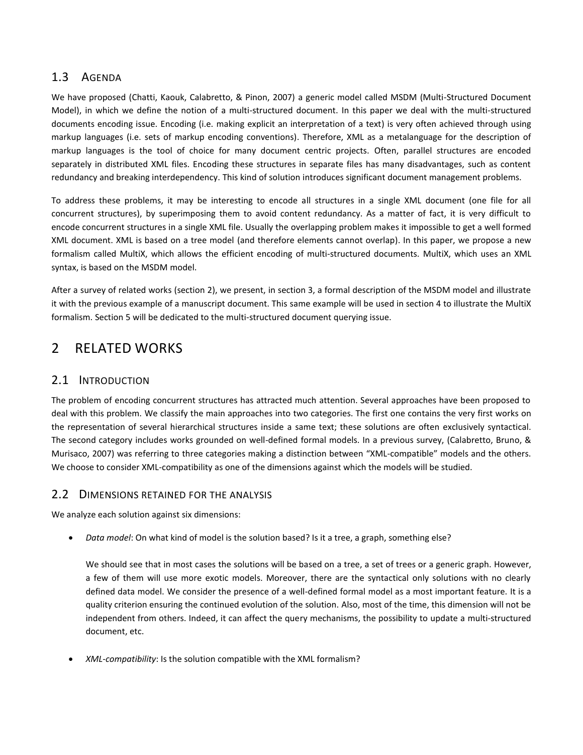## 1.3 AGENDA

We have proposed (Chatti, Kaouk, Calabretto, & Pinon, 2007) a generic model called MSDM (Multi-Structured Document Model), in which we define the notion of a multi-structured document. In this paper we deal with the multi-structured documents encoding issue. Encoding (i.e. making explicit an interpretation of a text) is very often achieved through using markup languages (i.e. sets of markup encoding conventions). Therefore, XML as a metalanguage for the description of markup languages is the tool of choice for many document centric projects. Often, parallel structures are encoded separately in distributed XML files. Encoding these structures in separate files has many disadvantages, such as content redundancy and breaking interdependency. This kind of solution introduces significant document management problems.

To address these problems, it may be interesting to encode all structures in a single XML document (one file for all concurrent structures), by superimposing them to avoid content redundancy. As a matter of fact, it is very difficult to encode concurrent structures in a single XML file. Usually the overlapping problem makes it impossible to get a well formed XML document. XML is based on a tree model (and therefore elements cannot overlap). In this paper, we propose a new formalism called MultiX, which allows the efficient encoding of multi-structured documents. MultiX, which uses an XML syntax, is based on the MSDM model.

After a survey of related works (section [2\)](#page-6-0), we present, in section [3,](#page-20-0) a formal description of the MSDM model and illustrate it with the previous example of a manuscript document. This same example will be used in section [4](#page-25-0) to illustrate the MultiX formalism. Section [5](#page-29-0) will be dedicated to the multi-structured document querying issue.

## <span id="page-6-0"></span>2 RELATED WORKS

## 2.1 INTRODUCTION

The problem of encoding concurrent structures has attracted much attention. Several approaches have been proposed to deal with this problem. We classify the main approaches into two categories. The first one contains the very first works on the representation of several hierarchical structures inside a same text; these solutions are often exclusively syntactical. The second category includes works grounded on well-defined formal models. In a previous survey, (Calabretto, Bruno, & Murisaco, 2007) was referring to three categories making a distinction between "XML-compatible" models and the others. We choose to consider XML-compatibility as one of the dimensions against which the models will be studied.

## <span id="page-6-1"></span>2.2 DIMENSIONS RETAINED FOR THE ANALYSIS

We analyze each solution against six dimensions:

*Data model*: On what kind of model is the solution based? Is it a tree, a graph, something else?

We should see that in most cases the solutions will be based on a tree, a set of trees or a generic graph. However, a few of them will use more exotic models. Moreover, there are the syntactical only solutions with no clearly defined data model. We consider the presence of a well-defined formal model as a most important feature. It is a quality criterion ensuring the continued evolution of the solution. Also, most of the time, this dimension will not be independent from others. Indeed, it can affect the query mechanisms, the possibility to update a multi-structured document, etc.

*XML-compatibility*: Is the solution compatible with the XML formalism?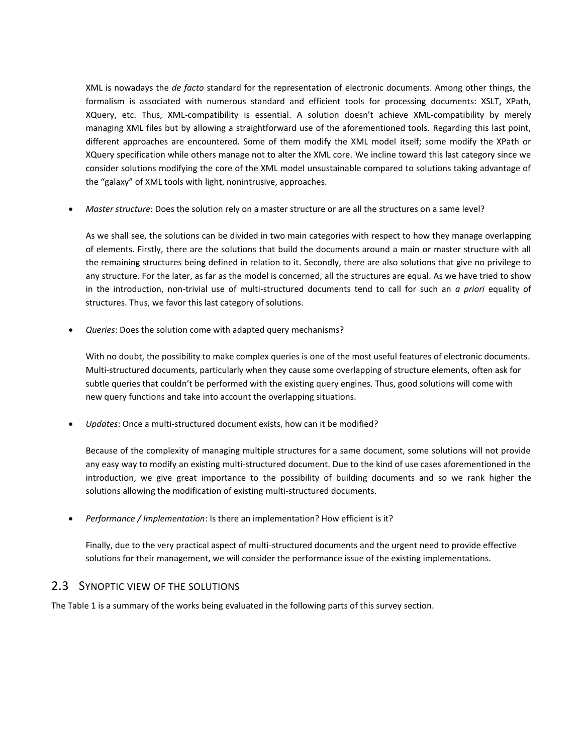XML is nowadays the *de facto* standard for the representation of electronic documents. Among other things, the formalism is associated with numerous standard and efficient tools for processing documents: XSLT, XPath, XQuery, etc. Thus, XML-compatibility is essential. A solution doesn't achieve XML-compatibility by merely managing XML files but by allowing a straightforward use of the aforementioned tools. Regarding this last point, different approaches are encountered. Some of them modify the XML model itself; some modify the XPath or XQuery specification while others manage not to alter the XML core. We incline toward this last category since we consider solutions modifying the core of the XML model unsustainable compared to solutions taking advantage of the "galaxy" of XML tools with light, nonintrusive, approaches.

*Master structure*: Does the solution rely on a master structure or are all the structures on a same level?

As we shall see, the solutions can be divided in two main categories with respect to how they manage overlapping of elements. Firstly, there are the solutions that build the documents around a main or master structure with all the remaining structures being defined in relation to it. Secondly, there are also solutions that give no privilege to any structure. For the later, as far as the model is concerned, all the structures are equal. As we have tried to show in the introduction, non-trivial use of multi-structured documents tend to call for such an *a priori* equality of structures. Thus, we favor this last category of solutions.

*Queries*: Does the solution come with adapted query mechanisms?

With no doubt, the possibility to make complex queries is one of the most useful features of electronic documents. Multi-structured documents, particularly when they cause some overlapping of structure elements, often ask for subtle queries that couldn't be performed with the existing query engines. Thus, good solutions will come with new query functions and take into account the overlapping situations.

*Updates*: Once a multi-structured document exists, how can it be modified?

Because of the complexity of managing multiple structures for a same document, some solutions will not provide any easy way to modify an existing multi-structured document. Due to the kind of use cases aforementioned in the introduction, we give great importance to the possibility of building documents and so we rank higher the solutions allowing the modification of existing multi-structured documents.

*Performance / Implementation*: Is there an implementation? How efficient is it?

Finally, due to the very practical aspect of multi-structured documents and the urgent need to provide effective solutions for their management, we will consider the performance issue of the existing implementations.

## 2.3 SYNOPTIC VIEW OF THE SOLUTIONS

Th[e Table 1](#page-8-0) is a summary of the works being evaluated in the following parts of this survey section.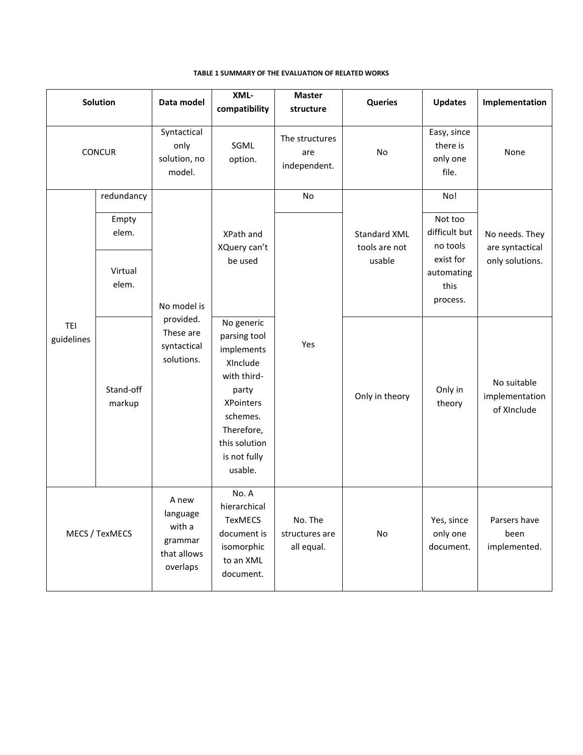<span id="page-8-0"></span>

| <b>Solution</b>          |                     | Data model                                                         | XML-<br>compatibility                                                                                                                                                  | <b>Master</b><br>structure              | <b>Queries</b>                                 | <b>Updates</b>                               | Implementation                               |
|--------------------------|---------------------|--------------------------------------------------------------------|------------------------------------------------------------------------------------------------------------------------------------------------------------------------|-----------------------------------------|------------------------------------------------|----------------------------------------------|----------------------------------------------|
| <b>CONCUR</b>            |                     | Syntactical<br>only<br>solution, no<br>model.                      | SGML<br>option.                                                                                                                                                        | The structures<br>are<br>independent.   | No                                             | Easy, since<br>there is<br>only one<br>file. | None                                         |
| <b>TEI</b><br>guidelines | redundancy          | No model is<br>provided.<br>These are<br>syntactical<br>solutions. | XPath and<br>XQuery can't<br>be used                                                                                                                                   | No                                      |                                                | No!                                          |                                              |
|                          | Empty<br>elem.      |                                                                    |                                                                                                                                                                        |                                         | <b>Standard XML</b><br>tools are not<br>usable | Not too<br>difficult but<br>no tools         | No needs. They<br>are syntactical            |
|                          | Virtual<br>elem.    |                                                                    |                                                                                                                                                                        |                                         |                                                | exist for<br>automating<br>this<br>process.  | only solutions.                              |
|                          | Stand-off<br>markup |                                                                    | No generic<br>parsing tool<br>implements<br>XInclude<br>with third-<br>party<br><b>XPointers</b><br>schemes.<br>Therefore,<br>this solution<br>is not fully<br>usable. | Yes                                     | Only in theory                                 | Only in<br>theory                            | No suitable<br>implementation<br>of XInclude |
| MECS / TexMECS           |                     | A new<br>language<br>with a<br>grammar<br>that allows<br>overlaps  | No. A<br>hierarchical<br>TexMECS<br>document is<br>isomorphic<br>to an XML<br>document.                                                                                | No. The<br>structures are<br>all equal. | $\mathsf{No}$                                  | Yes, since<br>only one<br>document.          | Parsers have<br>been<br>implemented.         |

#### **TABLE 1 SUMMARY OF THE EVALUATION OF RELATED WORKS**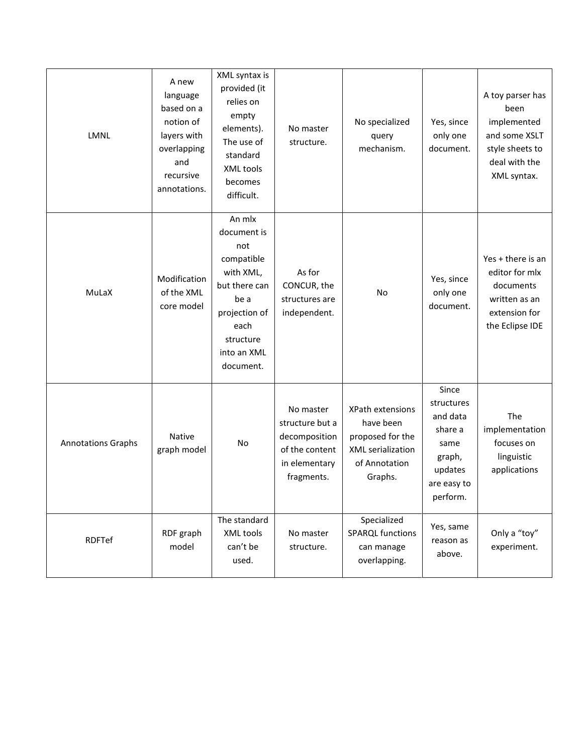| LMNL                      | A new<br>language<br>based on a<br>notion of<br>layers with<br>overlapping<br>and<br>recursive<br>annotations. | XML syntax is<br>provided (it<br>relies on<br>empty<br>elements).<br>The use of<br>standard<br>XML tools<br>becomes<br>difficult.                  | No master<br>structure.                                                                        | No specialized<br>query<br>mechanism.                                                              | Yes, since<br>only one<br>document.                                                                | A toy parser has<br>been<br>implemented<br>and some XSLT<br>style sheets to<br>deal with the<br>XML syntax. |
|---------------------------|----------------------------------------------------------------------------------------------------------------|----------------------------------------------------------------------------------------------------------------------------------------------------|------------------------------------------------------------------------------------------------|----------------------------------------------------------------------------------------------------|----------------------------------------------------------------------------------------------------|-------------------------------------------------------------------------------------------------------------|
| MuLaX                     | Modification<br>of the XML<br>core model                                                                       | An mlx<br>document is<br>not<br>compatible<br>with XML,<br>but there can<br>be a<br>projection of<br>each<br>structure<br>into an XML<br>document. | As for<br>CONCUR, the<br>structures are<br>independent.                                        | No                                                                                                 | Yes, since<br>only one<br>document.                                                                | Yes + there is an<br>editor for mlx<br>documents<br>written as an<br>extension for<br>the Eclipse IDE       |
| <b>Annotations Graphs</b> | Native<br>graph model                                                                                          | No                                                                                                                                                 | No master<br>structure but a<br>decomposition<br>of the content<br>in elementary<br>fragments. | XPath extensions<br>have been<br>proposed for the<br>XML serialization<br>of Annotation<br>Graphs. | Since<br>structures<br>and data<br>share a<br>same<br>graph,<br>updates<br>are easy to<br>perform. | The<br>implementation<br>focuses on<br>linguistic<br>applications                                           |
| RDFTef                    | RDF graph<br>model                                                                                             | The standard<br>XML tools<br>can't be<br>used.                                                                                                     | No master<br>structure.                                                                        | Specialized<br><b>SPARQL functions</b><br>can manage<br>overlapping.                               | Yes, same<br>reason as<br>above.                                                                   | Only a "toy"<br>experiment.                                                                                 |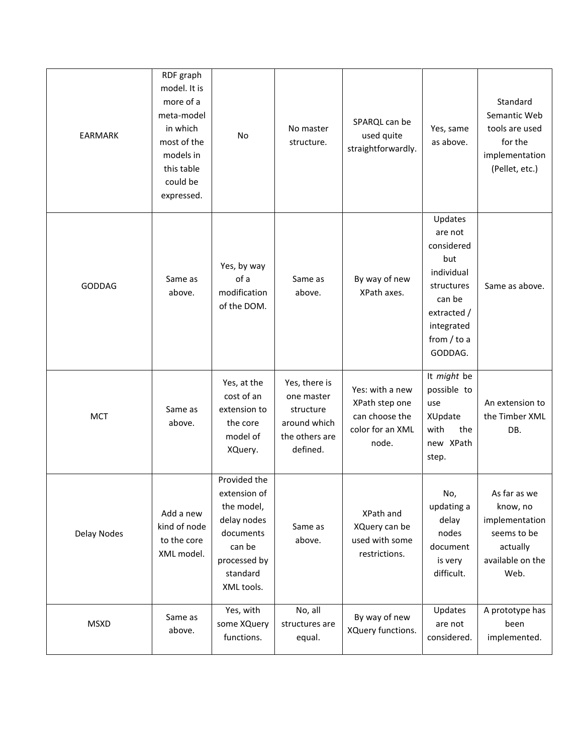| <b>EARMARK</b>     | RDF graph<br>model. It is<br>more of a<br>meta-model<br>in which<br>most of the<br>models in<br>this table<br>could be<br>expressed. | No                                                                                                                         | No master<br>structure.                                                                | SPARQL can be<br>used quite<br>straightforwardly.                                | Yes, same<br>as above.                                                                                                                 | Standard<br>Semantic Web<br>tools are used<br>for the<br>implementation<br>(Pellet, etc.)         |
|--------------------|--------------------------------------------------------------------------------------------------------------------------------------|----------------------------------------------------------------------------------------------------------------------------|----------------------------------------------------------------------------------------|----------------------------------------------------------------------------------|----------------------------------------------------------------------------------------------------------------------------------------|---------------------------------------------------------------------------------------------------|
| GODDAG             | Same as<br>above.                                                                                                                    | Yes, by way<br>of a<br>modification<br>of the DOM.                                                                         | Same as<br>above.                                                                      | By way of new<br>XPath axes.                                                     | Updates<br>are not<br>considered<br>but<br>individual<br>structures<br>can be<br>extracted /<br>integrated<br>from $/$ to a<br>GODDAG. | Same as above.                                                                                    |
| <b>MCT</b>         | Same as<br>above.                                                                                                                    | Yes, at the<br>cost of an<br>extension to<br>the core<br>model of<br>XQuery.                                               | Yes, there is<br>one master<br>structure<br>around which<br>the others are<br>defined. | Yes: with a new<br>XPath step one<br>can choose the<br>color for an XML<br>node. | It might be<br>possible to<br>use<br>XUpdate<br>with<br>the<br>new XPath<br>step.                                                      | An extension to<br>the Timber XML<br>DB.                                                          |
| <b>Delay Nodes</b> | Add a new<br>kind of node<br>to the core<br>XML model.                                                                               | Provided the<br>extension of<br>the model,<br>delay nodes<br>documents<br>can be<br>processed by<br>standard<br>XML tools. | Same as<br>above.                                                                      | XPath and<br>XQuery can be<br>used with some<br>restrictions.                    | No,<br>updating a<br>delay<br>nodes<br>document<br>is very<br>difficult.                                                               | As far as we<br>know, no<br>implementation<br>seems to be<br>actually<br>available on the<br>Web. |
| <b>MSXD</b>        | Same as<br>above.                                                                                                                    | Yes, with<br>some XQuery<br>functions.                                                                                     | No, all<br>structures are<br>equal.                                                    | By way of new<br>XQuery functions.                                               | Updates<br>are not<br>considered.                                                                                                      | A prototype has<br>been<br>implemented.                                                           |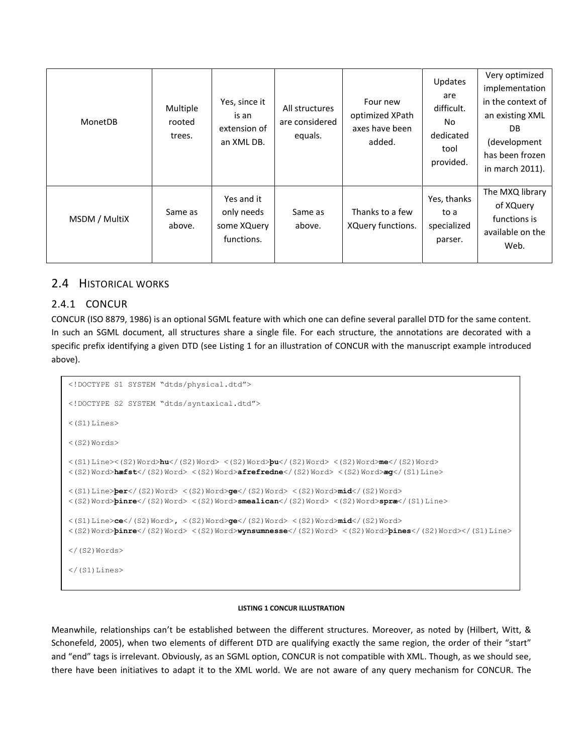| MonetDB       | Multiple<br>rooted<br>trees. | Yes, since it<br>is an<br>extension of<br>an XML DB.  | All structures<br>are considered<br>equals. | Four new<br>optimized XPath<br>axes have been<br>added. | <b>Updates</b><br>are<br>difficult.<br>No<br>dedicated<br>tool<br>provided. | Very optimized<br>implementation<br>in the context of<br>an existing XML<br>DB.<br>(development<br>has been frozen<br>in march 2011). |
|---------------|------------------------------|-------------------------------------------------------|---------------------------------------------|---------------------------------------------------------|-----------------------------------------------------------------------------|---------------------------------------------------------------------------------------------------------------------------------------|
| MSDM / MultiX | Same as<br>above.            | Yes and it<br>only needs<br>some XQuery<br>functions. | Same as<br>above.                           | Thanks to a few<br>XQuery functions.                    | Yes, thanks<br>to a<br>specialized<br>parser.                               | The MXQ library<br>of XQuery<br>functions is<br>available on the<br>Web.                                                              |

## 2.4 HISTORICAL WORKS

## 2.4.1 CONCUR

CONCUR (ISO 8879, 1986) is an optional SGML feature with which one can define several parallel DTD for the same content. In such an SGML document, all structures share a single file. For each structure, the annotations are decorated with a specific prefix identifying a given DTD (see [Listing 1](#page-11-0) for an illustration of CONCUR with the manuscript example introduced above).

```
<!DOCTYPE S1 SYSTEM "dtds/physical.dtd">
<!DOCTYPE S2 SYSTEM "dtds/syntaxical.dtd">
\langle(S1)Lines>
<(S2)Words>
<(S1)Line><(S2)Word>hu</(S2)Word> <(S2)Word>þu</(S2)Word> <(S2)Word>me</(S2)Word> 
<(S2)Word>hæfst</(S2)Word> <(S2)Word>afrefredne</(S2)Word> <(S2)Word>æg</(S1)Line>
<(S1)Line>þer</(S2)Word> <(S2)Word>ge</(S2)Word> <(S2)Word>mid</(S2)Word> 
<(S2)Word>þinre</(S2)Word> <(S2)Word>smealican</(S2)Word> <(S2)Word>spræ</(S1)Line>
<(S1)Line>ce</(S2)Word>, <(S2)Word>ge</(S2)Word> <(S2)Word>mid</(S2)Word> 
<(S2)Word>þinre</(S2)Word> <(S2)Word>wynsumnesse</(S2)Word> <(S2)Word>þines</(S2)Word></(S1)Line>
\langle (S2)Words>
\langle/(S1)Lines>
```
#### **LISTING 1 CONCUR ILLUSTRATION**

<span id="page-11-0"></span>Meanwhile, relationships can't be established between the different structures. Moreover, as noted by (Hilbert, Witt, & Schonefeld, 2005), when two elements of different DTD are qualifying exactly the same region, the order of their "start" and "end" tags is irrelevant. Obviously, as an SGML option, CONCUR is not compatible with XML. Though, as we should see, there have been initiatives to adapt it to the XML world. We are not aware of any query mechanism for CONCUR. The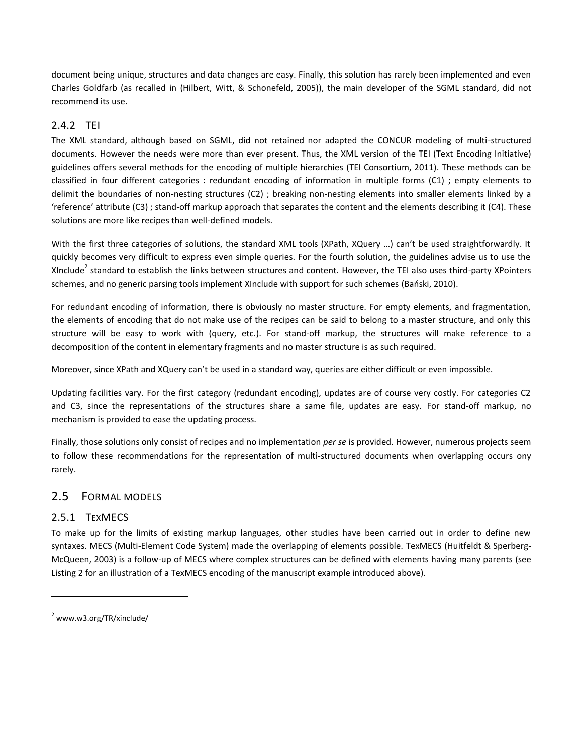document being unique, structures and data changes are easy. Finally, this solution has rarely been implemented and even Charles Goldfarb (as recalled in (Hilbert, Witt, & Schonefeld, 2005)), the main developer of the SGML standard, did not recommend its use.

## 2.4.2 TEI

The XML standard, although based on SGML, did not retained nor adapted the CONCUR modeling of multi-structured documents. However the needs were more than ever present. Thus, the XML version of the TEI (Text Encoding Initiative) guidelines offers several methods for the encoding of multiple hierarchies (TEI Consortium, 2011). These methods can be classified in four different categories : redundant encoding of information in multiple forms (C1) ; empty elements to delimit the boundaries of non-nesting structures (C2) ; breaking non-nesting elements into smaller elements linked by a 'reference' attribute (C3) ; stand-off markup approach that separates the content and the elements describing it (C4). These solutions are more like recipes than well-defined models.

With the first three categories of solutions, the standard XML tools (XPath, XQuery …) can't be used straightforwardly. It quickly becomes very difficult to express even simple queries. For the fourth solution, the guidelines advise us to use the XInclude<sup>2</sup> standard to establish the links between structures and content. However, the TEI also uses third-party XPointers schemes, and no generic parsing tools implement XInclude with support for such schemes (Bański, 2010).

For redundant encoding of information, there is obviously no master structure. For empty elements, and fragmentation, the elements of encoding that do not make use of the recipes can be said to belong to a master structure, and only this structure will be easy to work with (query, etc.). For stand-off markup, the structures will make reference to a decomposition of the content in elementary fragments and no master structure is as such required.

Moreover, since XPath and XQuery can't be used in a standard way, queries are either difficult or even impossible.

Updating facilities vary. For the first category (redundant encoding), updates are of course very costly. For categories C2 and C3, since the representations of the structures share a same file, updates are easy. For stand-off markup, no mechanism is provided to ease the updating process.

Finally, those solutions only consist of recipes and no implementation *per se* is provided. However, numerous projects seem to follow these recommendations for the representation of multi-structured documents when overlapping occurs ony rarely.

## 2.5 FORMAL MODELS

## 2.5.1 TEXMECS

To make up for the limits of existing markup languages, other studies have been carried out in order to define new syntaxes. MECS (Multi-Element Code System) made the overlapping of elements possible. TexMECS (Huitfeldt & Sperberg-McQueen, 2003) is a follow-up of MECS where complex structures can be defined with elements having many parents (see [Listing 2](#page-13-0) for an illustration of a TexMECS encoding of the manuscript example introduced above).

 $2$  www.w3.org/TR/xinclude/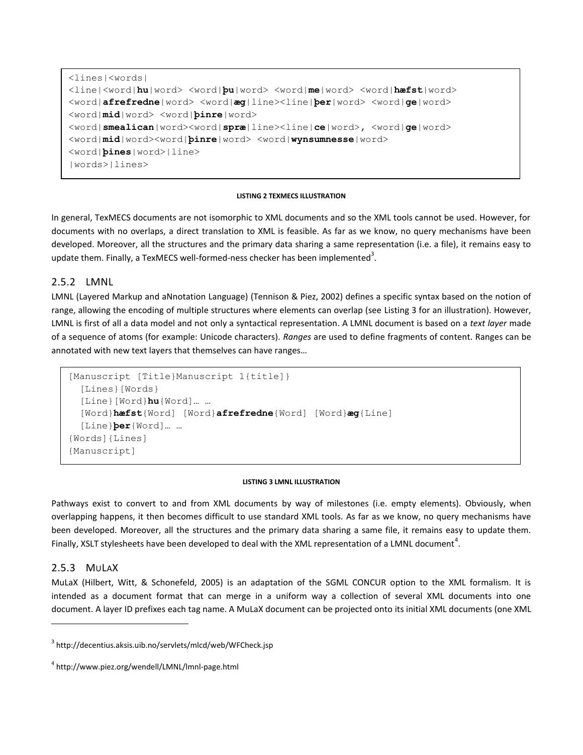```
<lines|<words|
<line|<word|hu|word> <word|þu|word> <word|me|word> <word|hæfst|word> 
<word|afrefredne|word> <word|æg|line><line|þer|word> <word|ge|word> 
<word|mid|word> <word|þinre|word> 
<word|smealican|word><word|spræ|line><line|ce|word>, <word|ge|word> 
<word|mid|word><word|þinre|word> <word|wynsumnesse|word> 
<word|þines|word>|line>
|words>|lines>
```
#### **LISTING 2 TEXMECS ILLUSTRATION**

<span id="page-13-0"></span>In general, TexMECS documents are not isomorphic to XML documents and so the XML tools cannot be used. However, for documents with no overlaps, a direct translation to XML is feasible. As far as we know, no query mechanisms have been developed. Moreover, all the structures and the primary data sharing a same representation (i.e. a file), it remains easy to update them. Finally, a TexMECS well-formed-ness checker has been implemented<sup>3</sup>.

#### 2.5.2 LMNL

LMNL (Layered Markup and aNnotation Language) (Tennison & Piez, 2002) defines a specific syntax based on the notion of range, allowing the encoding of multiple structures where elements can overlap (see [Listing 3](#page-13-1) for an illustration). However, LMNL is first of all a data model and not only a syntactical representation. A LMNL document is based on a *text layer* made of a sequence of atoms (for example: Unicode characters). *Ranges* are used to define fragments of content. Ranges can be annotated with new text layers that themselves can have ranges…

```
[Manuscript [Title}Manuscript 1{title]}
  [Lines}[Words}
  [Line}[Word}hu{Word]… …
  [Word}hæfst{Word] [Word}afrefredne{Word] [Word}æg{Line]
  [Line}þer{Word]… …
{Words]{Lines]
{Manuscript]
```
#### **LISTING 3 LMNL ILLUSTRATION**

<span id="page-13-1"></span>Pathways exist to convert to and from XML documents by way of milestones (i.e. empty elements). Obviously, when overlapping happens, it then becomes difficult to use standard XML tools. As far as we know, no query mechanisms have been developed. Moreover, all the structures and the primary data sharing a same file, it remains easy to update them. Finally, XSLT stylesheets have been developed to deal with the XML representation of a LMNL document<sup>4</sup>.

#### 2.5.3 MULAX

 $\overline{a}$ 

MuLaX (Hilbert, Witt, & Schonefeld, 2005) is an adaptation of the SGML CONCUR option to the XML formalism. It is intended as a document format that can merge in a uniform way a collection of several XML documents into one document. A layer ID prefixes each tag name. A MuLaX document can be projected onto its initial XML documents (one XML

<sup>3</sup> http://decentius.aksis.uib.no/servlets/mlcd/web/WFCheck.jsp

<sup>4</sup> http://www.piez.org/wendell/LMNL/lmnl-page.html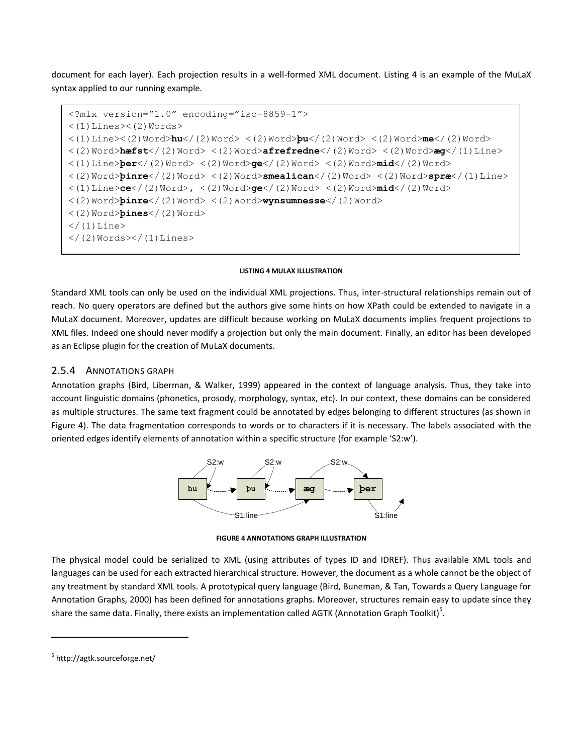document for each layer). Each projection results in a well-formed XML document. [Listing 4](#page-14-0) is an example of the MuLaX syntax applied to our running example.

```
<?mlx version="1.0" encoding="iso-8859-1">
<(1) Lines><(2) Words><(1)Line><(2)Word>hu</(2)Word> <(2)Word>þu</(2)Word> <(2)Word>me</(2)Word> 
<(2)Word>hæfst</(2)Word> <(2)Word>afrefredne</(2)Word> <(2)Word>æg</(1)Line>
<(1)Line>þer</(2)Word> <(2)Word>ge</(2)Word> <(2)Word>mid</(2)Word> 
<(2)Word>þinre</(2)Word> <(2)Word>smealican</(2)Word> <(2)Word>spræ</(1)Line>
<(1)Line>ce</(2)Word>, <(2)Word>ge</(2)Word> <(2)Word>mid</(2)Word> 
<(2)Word>þinre</(2)Word> <(2)Word>wynsumnesse</(2)Word> 
<(2)Word>þines</(2)Word>
\langle (1) Line>
\langle (2) Words>\rangle (1) Lines>
```
#### **LISTING 4 MULAX ILLUSTRATION**

<span id="page-14-0"></span>Standard XML tools can only be used on the individual XML projections. Thus, inter-structural relationships remain out of reach. No query operators are defined but the authors give some hints on how XPath could be extended to navigate in a MuLaX document. Moreover, updates are difficult because working on MuLaX documents implies frequent projections to XML files. Indeed one should never modify a projection but only the main document. Finally, an editor has been developed as an Eclipse plugin for the creation of MuLaX documents.

#### 2.5.4 ANNOTATIONS GRAPH

Annotation graphs (Bird, Liberman, & Walker, 1999) appeared in the context of language analysis. Thus, they take into account linguistic domains (phonetics, prosody, morphology, syntax, etc). In our context, these domains can be considered as multiple structures. The same text fragment could be annotated by edges belonging to different structures (as shown in [Figure 4\)](#page-14-1). The data fragmentation corresponds to words or to characters if it is necessary. The labels associated with the oriented edges identify elements of annotation within a specific structure (for example 'S2:w').



**FIGURE 4 ANNOTATIONS GRAPH ILLUSTRATION**

<span id="page-14-1"></span>The physical model could be serialized to XML (using attributes of types ID and IDREF). Thus available XML tools and languages can be used for each extracted hierarchical structure. However, the document as a whole cannot be the object of any treatment by standard XML tools. A prototypical query language (Bird, Buneman, & Tan, Towards a Query Language for Annotation Graphs, 2000) has been defined for annotations graphs. Moreover, structures remain easy to update since they share the same data. Finally, there exists an implementation called AGTK (Annotation Graph Toolkit)<sup>5</sup>.

<sup>&</sup>lt;sup>5</sup> http://agtk.sourceforge.net/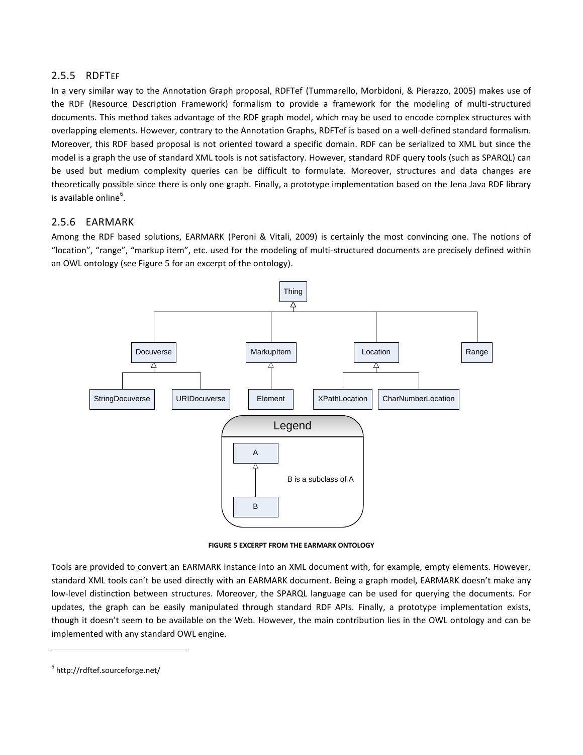### 2.5.5 RDFTEF

In a very similar way to the Annotation Graph proposal, RDFTef (Tummarello, Morbidoni, & Pierazzo, 2005) makes use of the RDF (Resource Description Framework) formalism to provide a framework for the modeling of multi-structured documents. This method takes advantage of the RDF graph model, which may be used to encode complex structures with overlapping elements. However, contrary to the Annotation Graphs, RDFTef is based on a well-defined standard formalism. Moreover, this RDF based proposal is not oriented toward a specific domain. RDF can be serialized to XML but since the model is a graph the use of standard XML tools is not satisfactory. However, standard RDF query tools (such as SPARQL) can be used but medium complexity queries can be difficult to formulate. Moreover, structures and data changes are theoretically possible since there is only one graph. Finally, a prototype implementation based on the Jena Java RDF library is available online $^6$ .

### 2.5.6 EARMARK

Among the RDF based solutions, EARMARK (Peroni & Vitali, 2009) is certainly the most convincing one. The notions of "location", "range", "markup item", etc. used for the modeling of multi-structured documents are precisely defined within an OWL ontology (se[e Figure 5](#page-15-0) for an excerpt of the ontology).



**FIGURE 5 EXCERPT FROM THE EARMARK ONTOLOGY**

<span id="page-15-0"></span>Tools are provided to convert an EARMARK instance into an XML document with, for example, empty elements. However, standard XML tools can't be used directly with an EARMARK document. Being a graph model, EARMARK doesn't make any low-level distinction between structures. Moreover, the SPARQL language can be used for querying the documents. For updates, the graph can be easily manipulated through standard RDF APIs. Finally, a prototype implementation exists, though it doesn't seem to be available on the Web. However, the main contribution lies in the OWL ontology and can be implemented with any standard OWL engine.

<sup>6</sup> http://rdftef.sourceforge.net/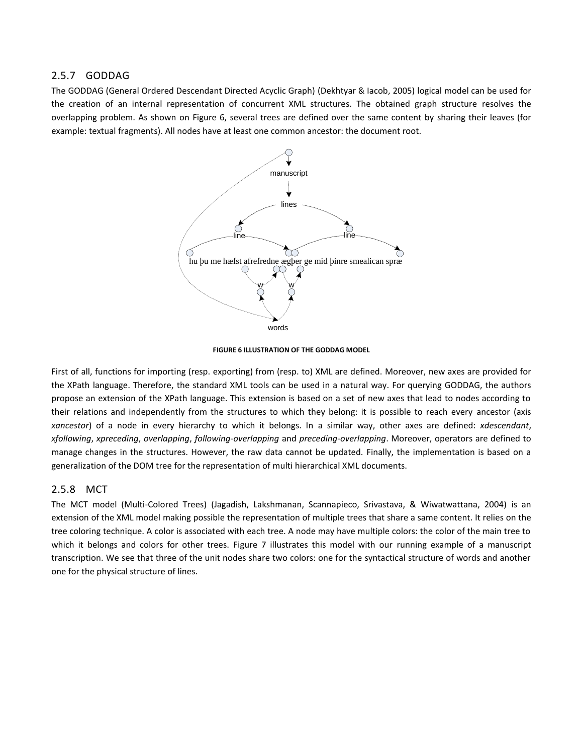### 2.5.7 GODDAG

The GODDAG (General Ordered Descendant Directed Acyclic Graph) (Dekhtyar & Iacob, 2005) logical model can be used for the creation of an internal representation of concurrent XML structures. The obtained graph structure resolves the overlapping problem. As shown on [Figure 6,](#page-16-0) several trees are defined over the same content by sharing their leaves (for example: textual fragments). All nodes have at least one common ancestor: the document root.



**FIGURE 6 ILLUSTRATION OF THE GODDAG MODEL**

<span id="page-16-0"></span>First of all, functions for importing (resp. exporting) from (resp. to) XML are defined. Moreover, new axes are provided for the XPath language. Therefore, the standard XML tools can be used in a natural way. For querying GODDAG, the authors propose an extension of the XPath language. This extension is based on a set of new axes that lead to nodes according to their relations and independently from the structures to which they belong: it is possible to reach every ancestor (axis *xancestor*) of a node in every hierarchy to which it belongs. In a similar way, other axes are defined: *xdescendant*, *xfollowing*, *xpreceding*, *overlapping*, *following-overlapping* and *preceding-overlapping*. Moreover, operators are defined to manage changes in the structures. However, the raw data cannot be updated. Finally, the implementation is based on a generalization of the DOM tree for the representation of multi hierarchical XML documents.

#### 2.5.8 MCT

The MCT model (Multi-Colored Trees) (Jagadish, Lakshmanan, Scannapieco, Srivastava, & Wiwatwattana, 2004) is an extension of the XML model making possible the representation of multiple trees that share a same content. It relies on the tree coloring technique. A color is associated with each tree. A node may have multiple colors: the color of the main tree to which it belongs and colors for other trees. [Figure 7](#page-17-0) illustrates this model with our running example of a manuscript transcription. We see that three of the unit nodes share two colors: one for the syntactical structure of words and another one for the physical structure of lines.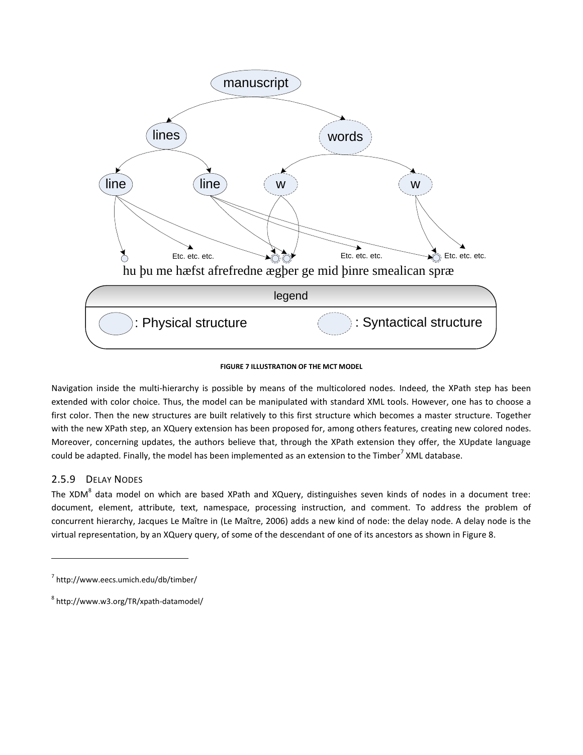

#### **FIGURE 7 ILLUSTRATION OF THE MCT MODEL**

<span id="page-17-0"></span>Navigation inside the multi-hierarchy is possible by means of the multicolored nodes. Indeed, the XPath step has been extended with color choice. Thus, the model can be manipulated with standard XML tools. However, one has to choose a first color. Then the new structures are built relatively to this first structure which becomes a master structure. Together with the new XPath step, an XQuery extension has been proposed for, among others features, creating new colored nodes. Moreover, concerning updates, the authors believe that, through the XPath extension they offer, the XUpdate language could be adapted. Finally, the model has been implemented as an extension to the Timber<sup>7</sup> XML database.

### 2.5.9 DELAY NODES

 $\overline{a}$ 

The XDM $^8$  data model on which are based XPath and XQuery, distinguishes seven kinds of nodes in a document tree: document, element, attribute, text, namespace, processing instruction, and comment. To address the problem of concurrent hierarchy, Jacques Le Maître in (Le Maître, 2006) adds a new kind of node: the delay node. A delay node is the virtual representation, by an XQuery query, of some of the descendant of one of its ancestors as shown in [Figure 8.](#page-18-0)

<sup>7</sup> http://www.eecs.umich.edu/db/timber/

<sup>8</sup> http://www.w3.org/TR/xpath-datamodel/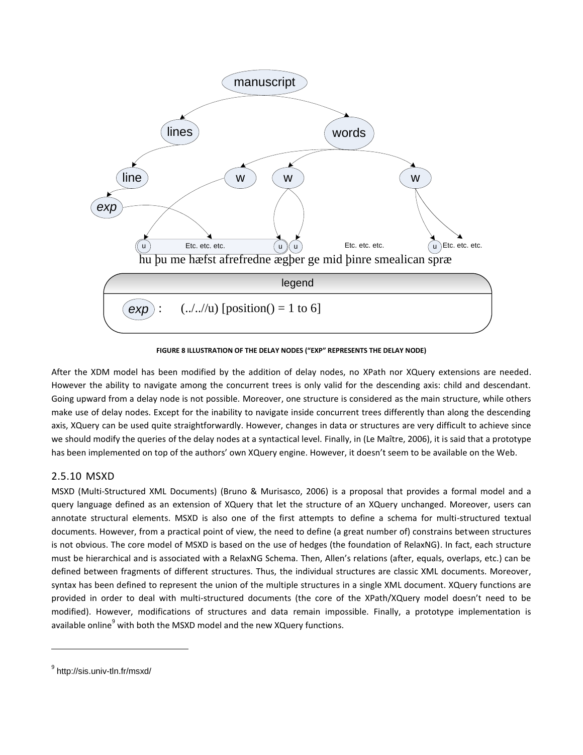

**FIGURE 8 ILLUSTRATION OF THE DELAY NODES ("EXP" REPRESENTS THE DELAY NODE)**

<span id="page-18-0"></span>After the XDM model has been modified by the addition of delay nodes, no XPath nor XQuery extensions are needed. However the ability to navigate among the concurrent trees is only valid for the descending axis: child and descendant. Going upward from a delay node is not possible. Moreover, one structure is considered as the main structure, while others make use of delay nodes. Except for the inability to navigate inside concurrent trees differently than along the descending axis, XQuery can be used quite straightforwardly. However, changes in data or structures are very difficult to achieve since we should modify the queries of the delay nodes at a syntactical level. Finally, in (Le Maître, 2006), it is said that a prototype has been implemented on top of the authors' own XQuery engine. However, it doesn't seem to be available on the Web.

## 2.5.10 MSXD

MSXD (Multi-Structured XML Documents) (Bruno & Murisasco, 2006) is a proposal that provides a formal model and a query language defined as an extension of XQuery that let the structure of an XQuery unchanged. Moreover, users can annotate structural elements. MSXD is also one of the first attempts to define a schema for multi-structured textual documents. However, from a practical point of view, the need to define (a great number of) constrains between structures is not obvious. The core model of MSXD is based on the use of hedges (the foundation of RelaxNG). In fact, each structure must be hierarchical and is associated with a RelaxNG Schema. Then, Allen's relations (after, equals, overlaps, etc.) can be defined between fragments of different structures. Thus, the individual structures are classic XML documents. Moreover, syntax has been defined to represent the union of the multiple structures in a single XML document. XQuery functions are provided in order to deal with multi-structured documents (the core of the XPath/XQuery model doesn't need to be modified). However, modifications of structures and data remain impossible. Finally, a prototype implementation is available online $9$  with both the MSXD model and the new XQuery functions.

<sup>&</sup>lt;sup>9</sup> http://sis.univ-tln.fr/msxd/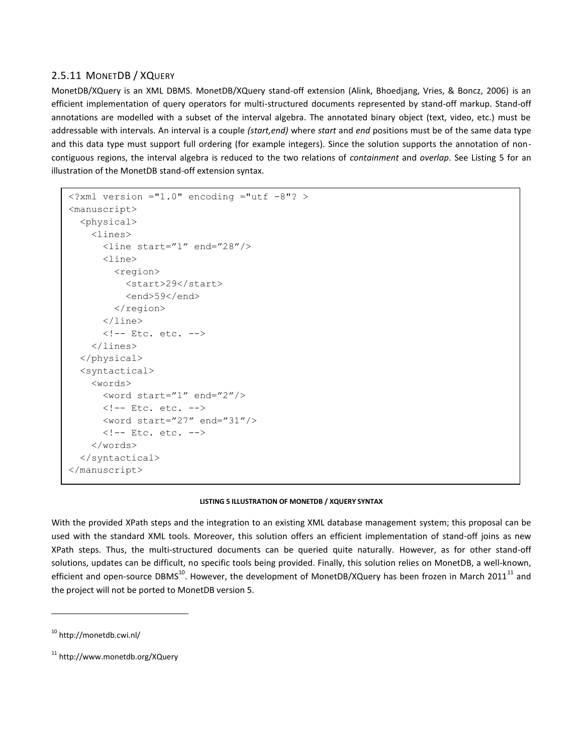## 2.5.11 MONETDB / XQUERY

MonetDB/XQuery is an XML DBMS. MonetDB/XQuery stand-off extension (Alink, Bhoedjang, Vries, & Boncz, 2006) is an efficient implementation of query operators for multi-structured documents represented by stand-off markup. Stand-off annotations are modelled with a subset of the interval algebra. The annotated binary object (text, video, etc.) must be addressable with intervals. An interval is a couple *(start,end)* where *start* and *end* positions must be of the same data type and this data type must support full ordering (for example integers). Since the solution supports the annotation of noncontiguous regions, the interval algebra is reduced to the two relations of *containment* and *overlap*. See [Listing 5](#page-19-0) for an illustration of the MonetDB stand-off extension syntax.

```
\leq?xml version ="1.0" encoding ="utf -8"? >
<manuscript>
   <physical>
     <lines>
       <line start="1" end="28"/>
       <line>
         <region>
           <start>29</start>
            <end>59</end>
         </region>
      \langleline>
       <!-- Etc. etc. -->
     </lines>
   </physical>
   <syntactical>
     <words>
       <word start="1" end="2"/>
       <!-- Etc. etc. -->
       <word start="27" end="31"/>
       <!-- Etc. etc. -->
     </words>
   </syntactical>
</manuscript>
```
#### **LISTING 5 ILLUSTRATION OF MONETDB / XQUERY SYNTAX**

<span id="page-19-0"></span>With the provided XPath steps and the integration to an existing XML database management system; this proposal can be used with the standard XML tools. Moreover, this solution offers an efficient implementation of stand-off joins as new XPath steps. Thus, the multi-structured documents can be queried quite naturally. However, as for other stand-off solutions, updates can be difficult, no specific tools being provided. Finally, this solution relies on MonetDB, a well-known, efficient and open-source DBMS<sup>10</sup>. However, the development of MonetDB/XQuery has been frozen in March 2011<sup>11</sup> and the project will not be ported to MonetDB version 5.

<sup>10</sup> http://monetdb.cwi.nl/

<sup>11</sup> http://www.monetdb.org/XQuery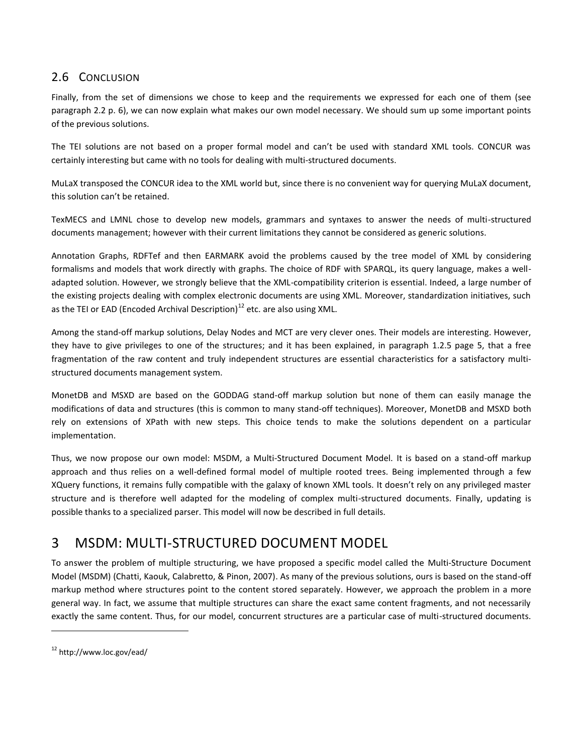## 2.6 CONCLUSION

Finally, from the set of dimensions we chose to keep and the requirements we expressed for each one of them (see paragraph [2.2](#page-6-1) p. [6\)](#page-6-1), we can now explain what makes our own model necessary. We should sum up some important points of the previous solutions.

The TEI solutions are not based on a proper formal model and can't be used with standard XML tools. CONCUR was certainly interesting but came with no tools for dealing with multi-structured documents.

MuLaX transposed the CONCUR idea to the XML world but, since there is no convenient way for querying MuLaX document, this solution can't be retained.

TexMECS and LMNL chose to develop new models, grammars and syntaxes to answer the needs of multi-structured documents management; however with their current limitations they cannot be considered as generic solutions.

Annotation Graphs, RDFTef and then EARMARK avoid the problems caused by the tree model of XML by considering formalisms and models that work directly with graphs. The choice of RDF with SPARQL, its query language, makes a welladapted solution. However, we strongly believe that the XML-compatibility criterion is essential. Indeed, a large number of the existing projects dealing with complex electronic documents are using XML. Moreover, standardization initiatives, such as the TEI or EAD (Encoded Archival Description) $^{12}$  etc. are also using XML.

Among the stand-off markup solutions, Delay Nodes and MCT are very clever ones. Their models are interesting. However, they have to give privileges to one of the structures; and it has been explained, in paragraph [1.2.5](#page-5-1) page [5,](#page-5-1) that a free fragmentation of the raw content and truly independent structures are essential characteristics for a satisfactory multistructured documents management system.

MonetDB and MSXD are based on the GODDAG stand-off markup solution but none of them can easily manage the modifications of data and structures (this is common to many stand-off techniques). Moreover, MonetDB and MSXD both rely on extensions of XPath with new steps. This choice tends to make the solutions dependent on a particular implementation.

Thus, we now propose our own model: MSDM, a Multi-Structured Document Model. It is based on a stand-off markup approach and thus relies on a well-defined formal model of multiple rooted trees. Being implemented through a few XQuery functions, it remains fully compatible with the galaxy of known XML tools. It doesn't rely on any privileged master structure and is therefore well adapted for the modeling of complex multi-structured documents. Finally, updating is possible thanks to a specialized parser. This model will now be described in full details.

## <span id="page-20-0"></span>3 MSDM: MULTI-STRUCTURED DOCUMENT MODEL

To answer the problem of multiple structuring, we have proposed a specific model called the Multi-Structure Document Model (MSDM) (Chatti, Kaouk, Calabretto, & Pinon, 2007). As many of the previous solutions, ours is based on the stand-off markup method where structures point to the content stored separately. However, we approach the problem in a more general way. In fact, we assume that multiple structures can share the exact same content fragments, and not necessarily exactly the same content. Thus, for our model, concurrent structures are a particular case of multi-structured documents.

<sup>12</sup> http://www.loc.gov/ead/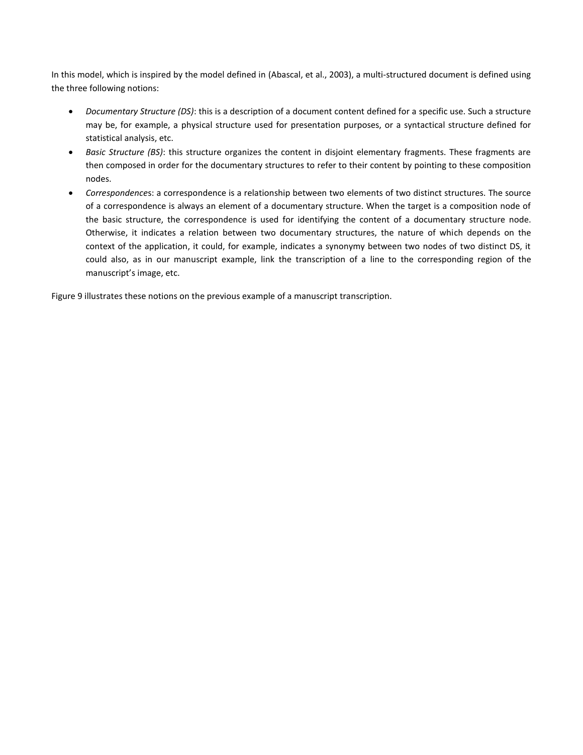In this model, which is inspired by the model defined in (Abascal, et al., 2003), a multi-structured document is defined using the three following notions:

- *Documentary Structure (DS)*: this is a description of a document content defined for a specific use. Such a structure may be, for example, a physical structure used for presentation purposes, or a syntactical structure defined for statistical analysis, etc.
- *Basic Structure (BS)*: this structure organizes the content in disjoint elementary fragments. These fragments are then composed in order for the documentary structures to refer to their content by pointing to these composition nodes.
- *Correspondence*s: a correspondence is a relationship between two elements of two distinct structures. The source of a correspondence is always an element of a documentary structure. When the target is a composition node of the basic structure, the correspondence is used for identifying the content of a documentary structure node. Otherwise, it indicates a relation between two documentary structures, the nature of which depends on the context of the application, it could, for example, indicates a synonymy between two nodes of two distinct DS, it could also, as in our manuscript example, link the transcription of a line to the corresponding region of the manuscript's image, etc.

[Figure 9](#page-22-0) illustrates these notions on the previous example of a manuscript transcription.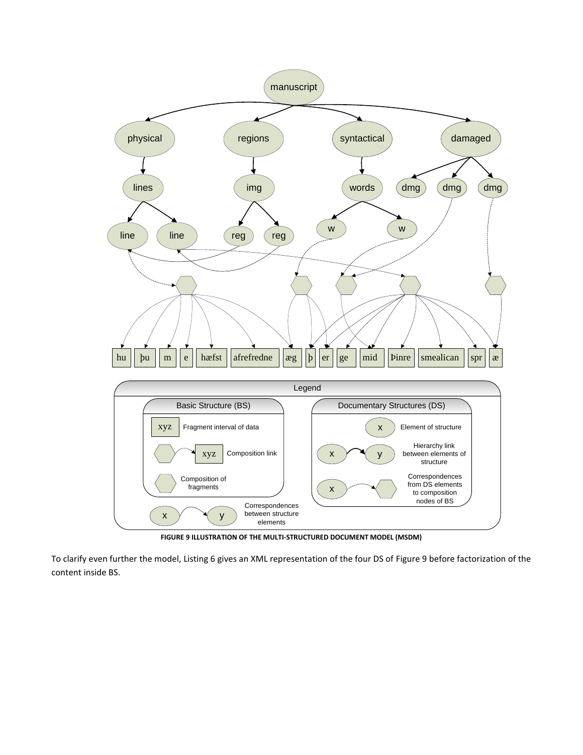

**FIGURE 9 ILLUSTRATION OF THE MULTI-STRUCTURED DOCUMENT MODEL (MSDM)**

<span id="page-22-0"></span>To clarify even further the model, [Listing 6](#page-23-0) gives an XML representation of the four DS of [Figure 9](#page-22-0) before factorization of the content inside BS.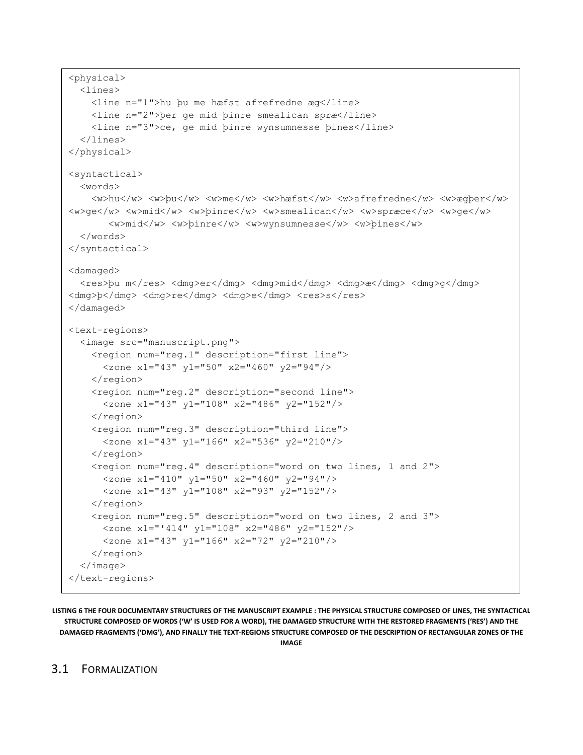```
<physical>
   <lines>
     <line n="1">hu þu me hæfst afrefredne æg</line>
     <line n="2">þer ge mid þinre smealican spræ</line>
     <line n="3">ce, ge mid þinre wynsumnesse þines</line>
   </lines>
</physical>
<syntactical>
   <words>
    <w>hu</w> <w>pu</w> <w>me</w> <w>he</w> <w>hæfst</w> <w>afrefredne</w> <w>agper</w>
<w>ge</w> <w>mid</w> <w>þinre</w> <w>smealican</w> <w>spræce</w> <w>ge</w>
       <w>mid</w> <w>þinre</w> <w>wynsumnesse</w> <w>þines</w>
   </words>
</syntactical>
<damaged>
  <res>þu m</res> <dmg>er</dmg> <dmg>mid</dmg> <dmg>æ</dmg> <dmg>g</dmg>
<dmg>b</dmg> <dmg>re</dmg> <dmg>e</dmg> <res>s</res>
</damaged>
<text-regions>
   <image src="manuscript.png">
     <region num="reg.1" description="first line">
       <zone x1="43" y1="50" x2="460" y2="94"/>
     </region>
     <region num="reg.2" description="second line">
       <zone x1="43" y1="108" x2="486" y2="152"/>
     </region>
     <region num="reg.3" description="third line">
       <zone x1="43" y1="166" x2="536" y2="210"/>
     </region>
     <region num="reg.4" description="word on two lines, 1 and 2">
       <zone x1="410" y1="50" x2="460" y2="94"/>
       <zone x1="43" y1="108" x2="93" y2="152"/>
     </region>
     <region num="reg.5" description="word on two lines, 2 and 3">
       <zone x1="'414" y1="108" x2="486" y2="152"/>
       <zone x1="43" y1="166" x2="72" y2="210"/>
     </region>
   </image>
</text-regions>
```
<span id="page-23-0"></span>**LISTING 6 THE FOUR DOCUMENTARY STRUCTURES OF THE MANUSCRIPT EXAMPLE : THE PHYSICAL STRUCTURE COMPOSED OF LINES, THE SYNTACTICAL STRUCTURE COMPOSED OF WORDS ('W' IS USED FOR A WORD), THE DAMAGED STRUCTURE WITH THE RESTORED FRAGMENTS ('RES') AND THE DAMAGED FRAGMENTS ('DMG'), AND FINALLY THE TEXT-REGIONS STRUCTURE COMPOSED OF THE DESCRIPTION OF RECTANGULAR ZONES OF THE IMAGE**

### 3.1 FORMALIZATION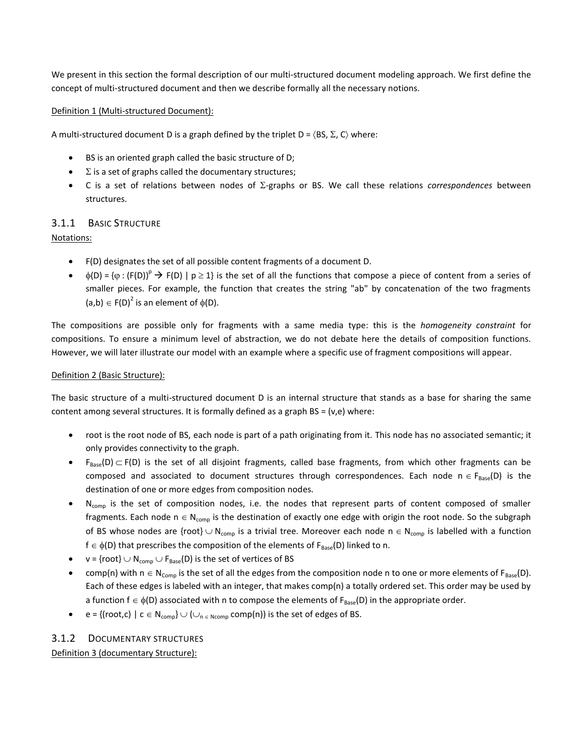We present in this section the formal description of our multi-structured document modeling approach. We first define the concept of multi-structured document and then we describe formally all the necessary notions.

#### Definition 1 (Multi-structured Document):

A multi-structured document D is a graph defined by the triplet  $D = \langle BS, \Sigma, C \rangle$  where:

- BS is an oriented graph called the basic structure of D;
- $\Sigma$  is a set of graphs called the documentary structures;
- C is a set of relations between nodes of  $\Sigma$ -graphs or BS. We call these relations *correspondences* between structures.

### 3.1.1 BASIC STRUCTURE

Notations:

- F(D) designates the set of all possible content fragments of a document D.
- $\phi(D) = {\varphi : (F(D))}^p \rightarrow F(D) \mid p \ge 1$  is the set of all the functions that compose a piece of content from a series of smaller pieces. For example, the function that creates the string "ab" by concatenation of the two fragments  $(a,b) \in F(D)^2$  is an element of  $\phi(D)$ .

The compositions are possible only for fragments with a same media type: this is the *homogeneity constraint* for compositions. To ensure a minimum level of abstraction, we do not debate here the details of composition functions. However, we will later illustrate our model with an example where a specific use of fragment compositions will appear.

#### Definition 2 (Basic Structure):

The basic structure of a multi-structured document D is an internal structure that stands as a base for sharing the same content among several structures. It is formally defined as a graph BS = (v,e) where:

- root is the root node of BS, each node is part of a path originating from it. This node has no associated semantic; it only provides connectivity to the graph.
- $F_{Base}(D) \subset F(D)$  is the set of all disjoint fragments, called base fragments, from which other fragments can be composed and associated to document structures through correspondences. Each node  $n \in F_{Base}(D)$  is the destination of one or more edges from composition nodes.
- N<sub>comp</sub> is the set of composition nodes, i.e. the nodes that represent parts of content composed of smaller fragments. Each node  $n \in N_{comp}$  is the destination of exactly one edge with origin the root node. So the subgraph of BS whose nodes are {root}  $\cup$  N<sub>comp</sub> is a trivial tree. Moreover each node n  $\in$  N<sub>comp</sub> is labelled with a function  $f \in \phi(D)$  that prescribes the composition of the elements of  $F_{Base}(D)$  linked to n.
- $v = {root} \cup N_{comp} \cup F_{Base}(D)$  is the set of vertices of BS
- comp(n) with  $n \in N_{Comp}$  is the set of all the edges from the composition node n to one or more elements of F<sub>Base</sub>(D). Each of these edges is labeled with an integer, that makes comp(n) a totally ordered set. This order may be used by a function  $f \in \phi(D)$  associated with n to compose the elements of  $F_{Base}(D)$  in the appropriate order.
- e = {(root,c) | c  $\in$  N<sub>comp</sub>}  $\cup$  ( $\cup_{n \in \text{Norm}}$  comp(n)) is the set of edges of BS.

#### 3.1.2 DOCUMENTARY STRUCTURES

Definition 3 (documentary Structure):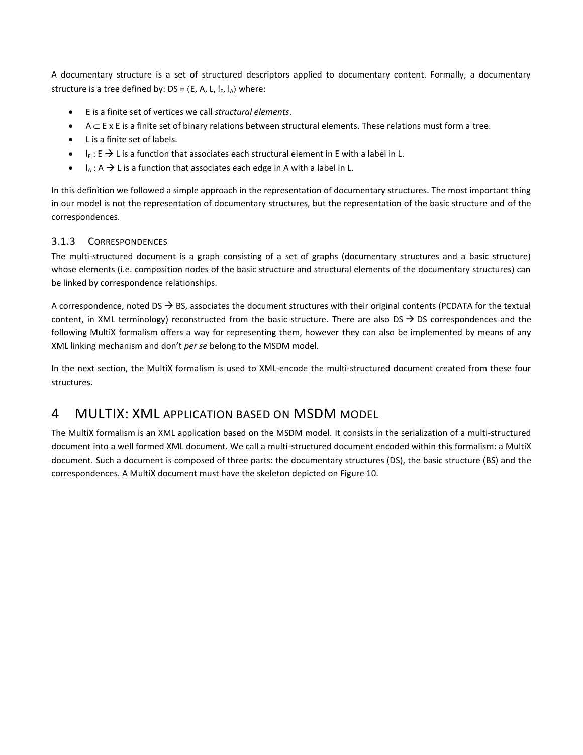A documentary structure is a set of structured descriptors applied to documentary content. Formally, a documentary structure is a tree defined by: DS =  $\langle$  E, A, L,  $I_{F}$ ,  $I_A$  $\rangle$  where:

- E is a finite set of vertices we call *structural elements*.
- $A \subset E$  x E is a finite set of binary relations between structural elements. These relations must form a tree.
- L is a finite set of labels.
- $I_{E}: E \rightarrow L$  is a function that associates each structural element in E with a label in L.
- $\bullet$   $I_A : A \rightarrow L$  is a function that associates each edge in A with a label in L.

In this definition we followed a simple approach in the representation of documentary structures. The most important thing in our model is not the representation of documentary structures, but the representation of the basic structure and of the correspondences.

#### 3.1.3 CORRESPONDENCES

The multi-structured document is a graph consisting of a set of graphs (documentary structures and a basic structure) whose elements (i.e. composition nodes of the basic structure and structural elements of the documentary structures) can be linked by correspondence relationships.

A correspondence, noted DS  $\rightarrow$  BS, associates the document structures with their original contents (PCDATA for the textual content, in XML terminology) reconstructed from the basic structure. There are also  $DS \rightarrow DS$  correspondences and the following MultiX formalism offers a way for representing them, however they can also be implemented by means of any XML linking mechanism and don't *per se* belong to the MSDM model.

In the next section, the MultiX formalism is used to XML-encode the multi-structured document created from these four structures.

## <span id="page-25-0"></span>4 MULTIX: XML APPLICATION BASED ON MSDM MODEL

The MultiX formalism is an XML application based on the MSDM model. It consists in the serialization of a multi-structured document into a well formed XML document. We call a multi-structured document encoded within this formalism: a MultiX document. Such a document is composed of three parts: the documentary structures (DS), the basic structure (BS) and the correspondences. A MultiX document must have the skeleton depicted o[n Figure 10.](#page-26-0)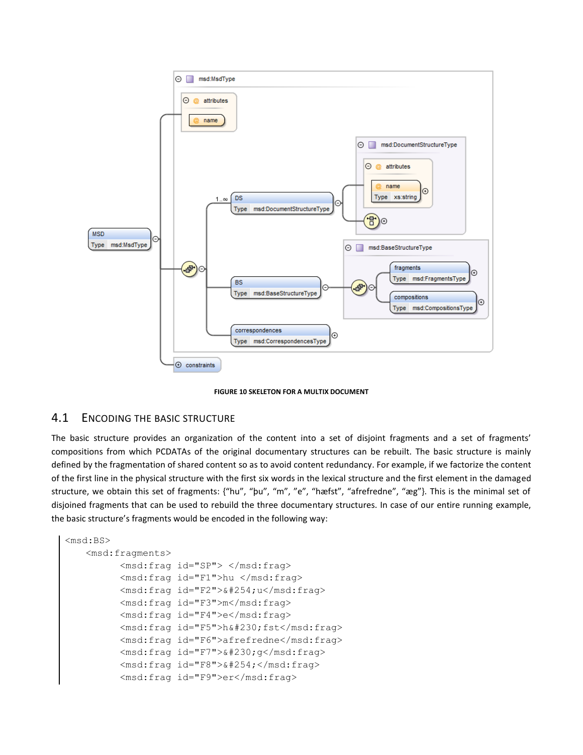

**FIGURE 10 SKELETON FOR A MULTIX DOCUMENT**

#### <span id="page-26-0"></span>4.1 ENCODING THE BASIC STRUCTURE

The basic structure provides an organization of the content into a set of disjoint fragments and a set of fragments' compositions from which PCDATAs of the original documentary structures can be rebuilt. The basic structure is mainly defined by the fragmentation of shared content so as to avoid content redundancy. For example, if we factorize the content of the first line in the physical structure with the first six words in the lexical structure and the first element in the damaged structure, we obtain this set of fragments: {"hu", "þu", "m", "e", "hæfst", "afrefredne", "æg"}. This is the minimal set of disjoined fragments that can be used to rebuild the three documentary structures. In case of our entire running example, the basic structure's fragments would be encoded in the following way:

```
<msd:BS>
   <msd:fragments>
         <msd:frag id="SP"> </msd:frag>
         <msd:frag id="F1">hu </msd:frag>
         <msd:frag id="F2">&#254;u</msd:frag>
         <msd:frag id="F3">m</msd:frag>
         <msd:frag id="F4">e</msd:frag>
         <msd:frag id="F5">h&#230;fst</msd:frag>
         <msd:frag id="F6">afrefredne</msd:frag>
         <msd:frag id="F7">&#230;q</msd:frag>
         <msd:frag id="F8">&#254;</msd:frag>
         <msd:frag id="F9">er</msd:frag>
```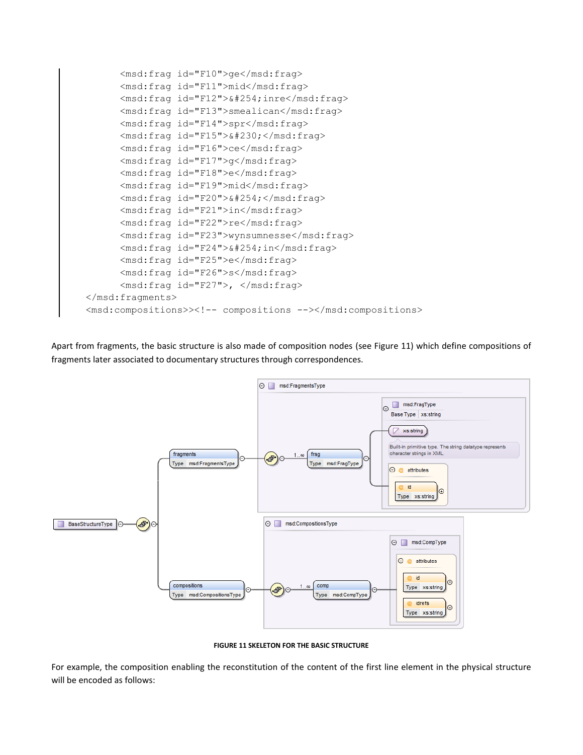

Apart from fragments, the basic structure is also made of composition nodes (see [Figure 11\)](#page-27-0) which define compositions of fragments later associated to documentary structures through correspondences.



**FIGURE 11 SKELETON FOR THE BASIC STRUCTURE**

<span id="page-27-0"></span>For example, the composition enabling the reconstitution of the content of the first line element in the physical structure will be encoded as follows: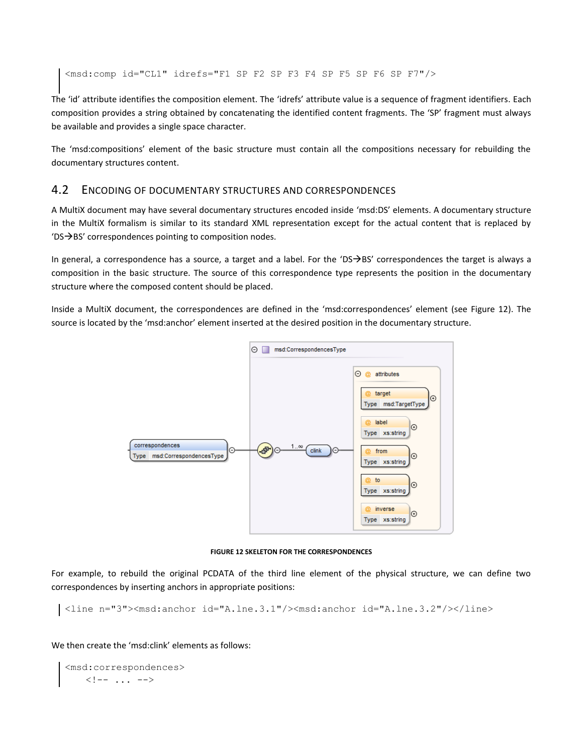<msd:comp id="CL1" idrefs="F1 SP F2 SP F3 F4 SP F5 SP F6 SP F7"/>

The 'id' attribute identifies the composition element. The 'idrefs' attribute value is a sequence of fragment identifiers. Each composition provides a string obtained by concatenating the identified content fragments. The 'SP' fragment must always be available and provides a single space character.

The 'msd:compositions' element of the basic structure must contain all the compositions necessary for rebuilding the documentary structures content.

### 4.2 ENCODING OF DOCUMENTARY STRUCTURES AND CORRESPONDENCES

A MultiX document may have several documentary structures encoded inside 'msd:DS' elements. A documentary structure in the MultiX formalism is similar to its standard XML representation except for the actual content that is replaced by  $'DS \rightarrow BS'$  correspondences pointing to composition nodes.

In general, a correspondence has a source, a target and a label. For the 'DS $\rightarrow$ BS' correspondences the target is always a composition in the basic structure. The source of this correspondence type represents the position in the documentary structure where the composed content should be placed.

Inside a MultiX document, the correspondences are defined in the 'msd:correspondences' element (see [Figure 12\)](#page-28-0). The source is located by the 'msd:anchor' element inserted at the desired position in the documentary structure.



**FIGURE 12 SKELETON FOR THE CORRESPONDENCES**

<span id="page-28-0"></span>For example, to rebuild the original PCDATA of the third line element of the physical structure, we can define two correspondences by inserting anchors in appropriate positions:

<line n="3"><msd:anchor id="A.lne.3.1"/><msd:anchor id="A.lne.3.2"/></line>

We then create the 'msd:clink' elements as follows:

```
<msd:correspondences>
    \langle!-- ... -->
```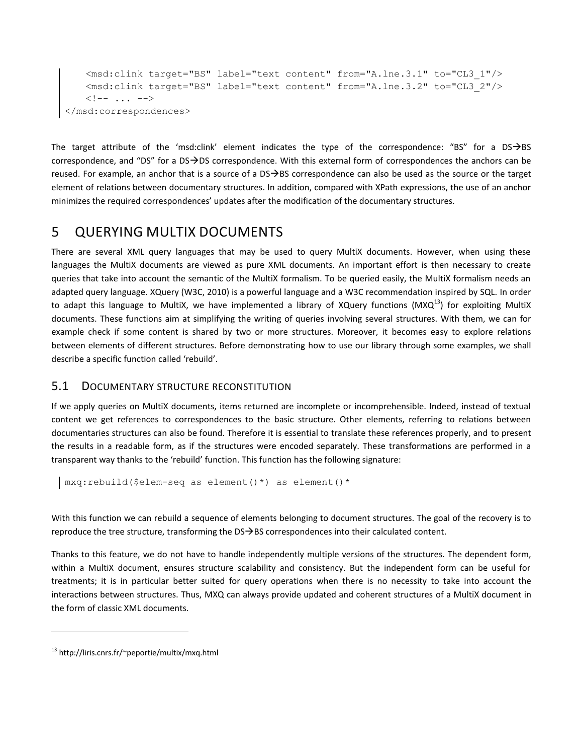```
<msd:clink target="BS" label="text content" from="A.lne.3.1" to="CL3_1"/>
    <msd:clink target="BS" label="text content" from="A.lne.3.2" to="CL3_2"/>
    \langle !-- \dots -\rangle</msd:correspondences>
```
The target attribute of the 'msd:clink' element indicates the type of the correspondence: "BS" for a DS $\rightarrow$ BS correspondence, and "DS" for a DS $\rightarrow$ DS correspondence. With this external form of correspondences the anchors can be reused. For example, an anchor that is a source of a  $DS \rightarrow BS$  correspondence can also be used as the source or the target element of relations between documentary structures. In addition, compared with XPath expressions, the use of an anchor minimizes the required correspondences' updates after the modification of the documentary structures.

## <span id="page-29-0"></span>5 QUERYING MULTIX DOCUMENTS

There are several XML query languages that may be used to query MultiX documents. However, when using these languages the MultiX documents are viewed as pure XML documents. An important effort is then necessary to create queries that take into account the semantic of the MultiX formalism. To be queried easily, the MultiX formalism needs an adapted query language. XQuery (W3C, 2010) is a powerful language and a W3C recommendation inspired by SQL. In order to adapt this language to MultiX, we have implemented a library of XQuery functions (MXQ $^{13}$ ) for exploiting MultiX documents. These functions aim at simplifying the writing of queries involving several structures. With them, we can for example check if some content is shared by two or more structures. Moreover, it becomes easy to explore relations between elements of different structures. Before demonstrating how to use our library through some examples, we shall describe a specific function called 'rebuild'.

## 5.1 DOCUMENTARY STRUCTURE RECONSTITUTION

If we apply queries on MultiX documents, items returned are incomplete or incomprehensible. Indeed, instead of textual content we get references to correspondences to the basic structure. Other elements, referring to relations between documentaries structures can also be found. Therefore it is essential to translate these references properly, and to present the results in a readable form, as if the structures were encoded separately. These transformations are performed in a transparent way thanks to the 'rebuild' function. This function has the following signature:

```
mxq:rebuild($elem-seq as element()*) as element()*
```
With this function we can rebuild a sequence of elements belonging to document structures. The goal of the recovery is to reproduce the tree structure, transforming the  $DS\rightarrow BS$  correspondences into their calculated content.

Thanks to this feature, we do not have to handle independently multiple versions of the structures. The dependent form, within a MultiX document, ensures structure scalability and consistency. But the independent form can be useful for treatments; it is in particular better suited for query operations when there is no necessity to take into account the interactions between structures. Thus, MXQ can always provide updated and coherent structures of a MultiX document in the form of classic XML documents.

<sup>13</sup> http://liris.cnrs.fr/~peportie/multix/mxq.html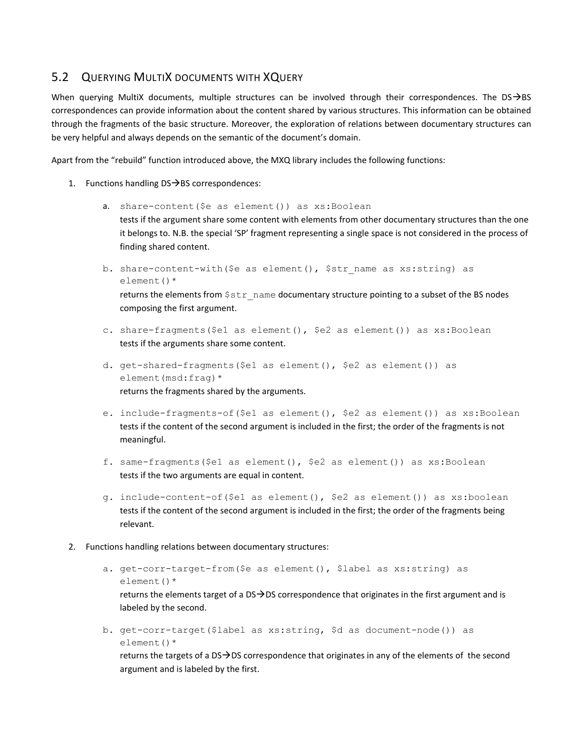## 5.2 QUERYING MULTIX DOCUMENTS WITH XQUERY

When querying MultiX documents, multiple structures can be involved through their correspondences. The DS $\rightarrow$ BS correspondences can provide information about the content shared by various structures. This information can be obtained through the fragments of the basic structure. Moreover, the exploration of relations between documentary structures can be very helpful and always depends on the semantic of the document's domain.

Apart from the "rebuild" function introduced above, the MXQ library includes the following functions:

- 1. Functions handling  $DS \rightarrow BS$  correspondences:
	- a. share-content (\$e as element ()) as xs: Boolean tests if the argument share some content with elements from other documentary structures than the one it belongs to. N.B. the special 'SP' fragment representing a single space is not considered in the process of finding shared content.
	- b. share-content-with (\$e as element(), \$str name as xs:string) as element()\* returns the elements from  $\frac{2}{5}$  transformance documentary structure pointing to a subset of the BS nodes composing the first argument.
	- c. share-fragments(\$e1 as element(), \$e2 as element()) as xs:Boolean tests if the arguments share some content.
	- d. get-shared-fragments(\$e1 as element(), \$e2 as element()) as element(msd:frag)\* returns the fragments shared by the arguments.
	- e. include-fragments-of(\$e1 as element(), \$e2 as element()) as xs:Boolean tests if the content of the second argument is included in the first; the order of the fragments is not meaningful.
	- f. same-fragments(\$e1 as element(), \$e2 as element()) as xs:Boolean tests if the two arguments are equal in content.
	- g. include-content-of(\$e1 as element(), \$e2 as element()) as xs:boolean tests if the content of the second argument is included in the first; the order of the fragments being relevant.
- 2. Functions handling relations between documentary structures:
	- a. get-corr-target-from(\$e as element(), \$label as xs:string) as element()\* returns the elements target of a DS $\rightarrow$ DS correspondence that originates in the first argument and is labeled by the second.
	- b. get-corr-target(\$label as xs:string, \$d as document-node()) as element()\* returns the targets of a DS $\rightarrow$ DS correspondence that originates in any of the elements of the second argument and is labeled by the first.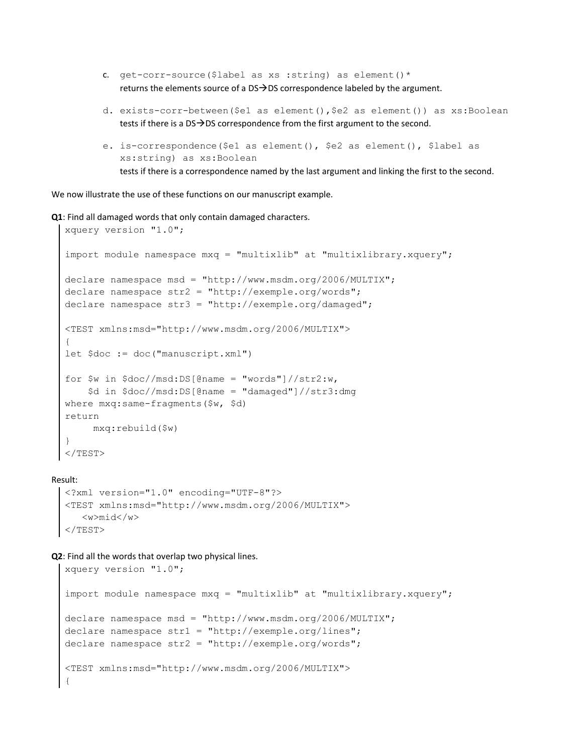- c. get-corr-source (\$label as xs : string) as element ()  $*$ returns the elements source of a  $DS\rightarrow DS$  correspondence labeled by the argument.
- d. exists-corr-between(\$e1 as element(),\$e2 as element()) as xs:Boolean tests if there is a  $DS\rightarrow DS$  correspondence from the first argument to the second.
- e. is-correspondence(\$e1 as element(), \$e2 as element(), \$label as xs:string) as xs:Boolean tests if there is a correspondence named by the last argument and linking the first to the second.

We now illustrate the use of these functions on our manuscript example.

**Q1**: Find all damaged words that only contain damaged characters.

```
xquery version "1.0";
import module namespace mxq = "multixlib" at "multixlibrary.xquery";
declare namespace msd = "http://www.msdm.org/2006/MULTIX";
declare namespace str2 = "http://exemple.org/words";
declare namespace str3 = "http://exemple.org/damaged";
<TEST xmlns:msd="http://www.msdm.org/2006/MULTIX">
{
let $doc := doc("manuscript.xml")
for \sin \frac{\theta}{\cos \theta} in \frac{\cos \theta}{\cos \theta} = "words"]//str2:w,
     $d in $doc//msd:DS[@name = "damaged"]//str3:dmg
where mxq:same-fragments($w, $d)
return
      mxq:rebuild($w)
}
</TEST>
```
Result:

```
<?xml version="1.0" encoding="UTF-8"?>
<TEST xmlns:msd="http://www.msdm.org/2006/MULTIX">
    <w>mid</w>
</TEST>
```
**Q2**: Find all the words that overlap two physical lines.

```
xquery version "1.0";
import module namespace mxq = "multixlib" at "multixlibrary.xquery";
declare namespace msd = "http://www.msdm.org/2006/MULTIX";
declare namespace str1 = "http://example.org/lines";declare namespace str2 = "http://exemple.org/words";
<TEST xmlns:msd="http://www.msdm.org/2006/MULTIX">
{
```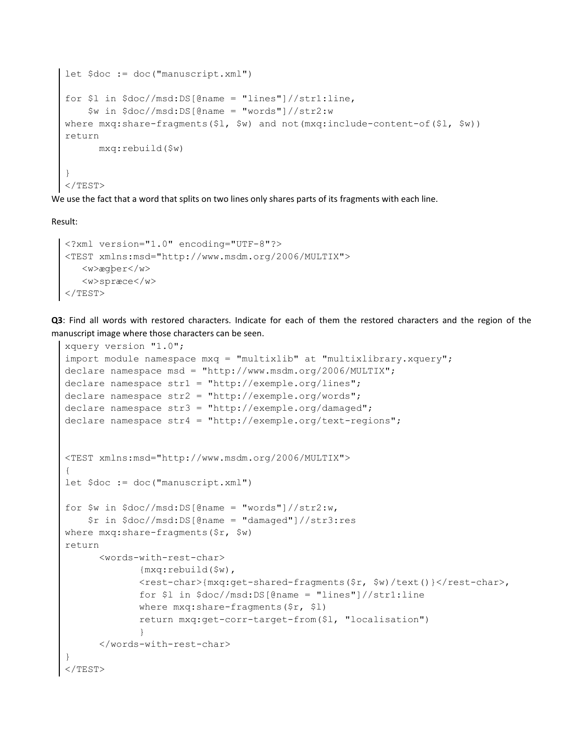```
let $doc := doc("manuscript.xml")
for $1 in $doc//msd:DS[@name = "lines"]//str1:line, $w in $doc//msd:DS[@name = "words"]//str2:w
where mxq:share-fragments($l, $w) and not(mxq:include-content-of($l, $w))
return
       mxq:rebuild($w)
}
\langle/TEST\rangle
```
We use the fact that a word that splits on two lines only shares parts of its fragments with each line.

Result:

```
<?xml version="1.0" encoding="UTF-8"?>
<TEST xmlns:msd="http://www.msdm.org/2006/MULTIX">
   <w>ægþer</w>
    <w>spræce</w>
</TEST>
```
**Q3**: Find all words with restored characters. Indicate for each of them the restored characters and the region of the manuscript image where those characters can be seen.

```
xquery version "1.0";
import module namespace mxq = "multixlib" at "multixlibrary.xquery";
declare namespace msd = "http://www.msdm.org/2006/MULTIX";
declare namespace str1 = "http://exemple.org/lines";
declare namespace str2 = "http://exemple.org/words";
declare namespace str3 = "http://exemple.org/damaged";
declare namespace str4 = "http://exemple.org/text-regions";
<TEST xmlns:msd="http://www.msdm.org/2006/MULTIX">
{
let $doc := doc("manuscript.xml")
for \sin \frac{\theta}{\cos \theta} in \frac{\theta}{\cos \theta}: DS[\thetaname = "words"]//str2:w,
     $r in $doc//msd:DS[@name = "damaged"]//str3:res
where mxq:share-fragments($r, $w)
return
       <words-with-rest-char>
               {mxq:rebuild($w),
               <rest-char>{mxq:get-shared-fragments($r, $w)/text()}</rest-char>,
               for $l in $doc//msd:DS[@name = "lines"]//str1:line
               where mxq:share-fragments($r, $l)
               return mxq:get-corr-target-from($l, "localisation")
 }
       </words-with-rest-char>
}
\langle/TEST>
```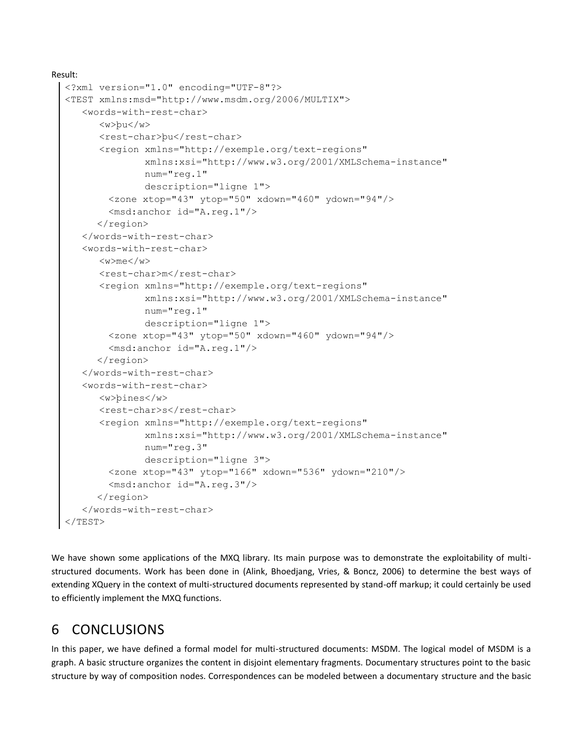```
Result: 
  <?xml version="1.0" encoding="UTF-8"?>
  <TEST xmlns:msd="http://www.msdm.org/2006/MULTIX">
      <words-with-rest-char>
         <w>þu</w>
        <rest-char>bu</rest-char>
         <region xmlns="http://exemple.org/text-regions"
                  xmlns:xsi="http://www.w3.org/2001/XMLSchema-instance"
                  num="reg.1"
                  description="ligne 1">
           <zone xtop="43" ytop="50" xdown="460" ydown="94"/>
           <msd:anchor id="A.reg.1"/>
         </region>
      </words-with-rest-char>
      <words-with-rest-char>
         <w>me</w>
        <rest-char>m</rest-char>
         <region xmlns="http://exemple.org/text-regions"
                  xmlns:xsi="http://www.w3.org/2001/XMLSchema-instance"
                  num="reg.1"
                  description="ligne 1">
           <zone xtop="43" ytop="50" xdown="460" ydown="94"/>
           <msd:anchor id="A.reg.1"/>
         </region>
      </words-with-rest-char>
      <words-with-rest-char>
         <w>þines</w>
        <rest-char>s</rest-char>
         <region xmlns="http://exemple.org/text-regions"
                  xmlns:xsi="http://www.w3.org/2001/XMLSchema-instance"
                  num="reg.3"
                  description="ligne 3">
           <zone xtop="43" ytop="166" xdown="536" ydown="210"/>
           <msd:anchor id="A.reg.3"/>
         </region>
      </words-with-rest-char>
  </TEST>
```
We have shown some applications of the MXQ library. Its main purpose was to demonstrate the exploitability of multistructured documents. Work has been done in (Alink, Bhoedjang, Vries, & Boncz, 2006) to determine the best ways of extending XQuery in the context of multi-structured documents represented by stand-off markup; it could certainly be used to efficiently implement the MXQ functions.

## 6 CONCLUSIONS

In this paper, we have defined a formal model for multi-structured documents: MSDM. The logical model of MSDM is a graph. A basic structure organizes the content in disjoint elementary fragments. Documentary structures point to the basic structure by way of composition nodes. Correspondences can be modeled between a documentary structure and the basic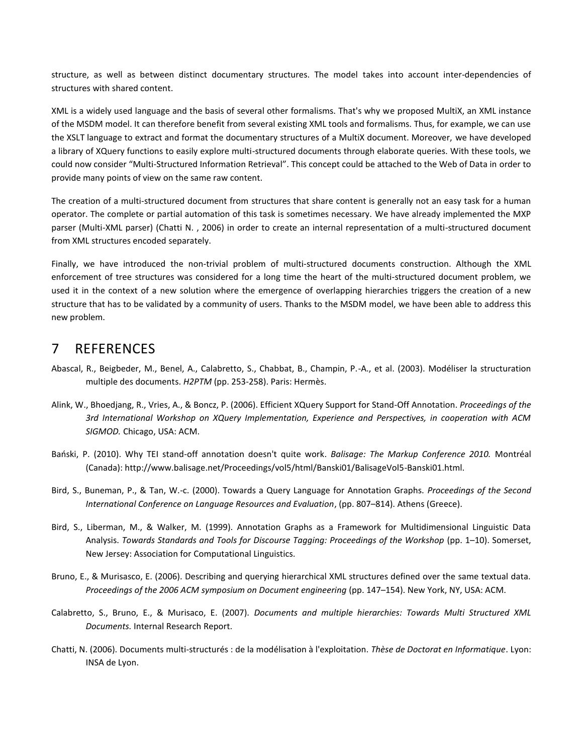structure, as well as between distinct documentary structures. The model takes into account inter-dependencies of structures with shared content.

XML is a widely used language and the basis of several other formalisms. That's why we proposed MultiX, an XML instance of the MSDM model. It can therefore benefit from several existing XML tools and formalisms. Thus, for example, we can use the XSLT language to extract and format the documentary structures of a MultiX document. Moreover, we have developed a library of XQuery functions to easily explore multi-structured documents through elaborate queries. With these tools, we could now consider "Multi-Structured Information Retrieval". This concept could be attached to the Web of Data in order to provide many points of view on the same raw content.

The creation of a multi-structured document from structures that share content is generally not an easy task for a human operator. The complete or partial automation of this task is sometimes necessary. We have already implemented the MXP parser (Multi-XML parser) (Chatti N. , 2006) in order to create an internal representation of a multi-structured document from XML structures encoded separately.

Finally, we have introduced the non-trivial problem of multi-structured documents construction. Although the XML enforcement of tree structures was considered for a long time the heart of the multi-structured document problem, we used it in the context of a new solution where the emergence of overlapping hierarchies triggers the creation of a new structure that has to be validated by a community of users. Thanks to the MSDM model, we have been able to address this new problem.

## 7 REFERENCES

- Abascal, R., Beigbeder, M., Benel, A., Calabretto, S., Chabbat, B., Champin, P.-A., et al. (2003). Modéliser la structuration multiple des documents. *H2PTM* (pp. 253-258). Paris: Hermès.
- Alink, W., Bhoedjang, R., Vries, A., & Boncz, P. (2006). Efficient XQuery Support for Stand-Off Annotation. *Proceedings of the 3rd International Workshop on XQuery Implementation, Experience and Perspectives, in cooperation with ACM SIGMOD.* Chicago, USA: ACM.
- Bański, P. (2010). Why TEI stand-off annotation doesn't quite work. Balisage: The Markup Conference 2010. Montréal (Canada): http://www.balisage.net/Proceedings/vol5/html/Banski01/BalisageVol5-Banski01.html.
- Bird, S., Buneman, P., & Tan, W.-c. (2000). Towards a Query Language for Annotation Graphs. *Proceedings of the Second International Conference on Language Resources and Evaluation*, (pp. 807–814). Athens (Greece).
- Bird, S., Liberman, M., & Walker, M. (1999). Annotation Graphs as a Framework for Multidimensional Linguistic Data Analysis. *Towards Standards and Tools for Discourse Tagging: Proceedings of the Workshop* (pp. 1–10). Somerset, New Jersey: Association for Computational Linguistics.
- Bruno, E., & Murisasco, E. (2006). Describing and querying hierarchical XML structures defined over the same textual data. *Proceedings of the 2006 ACM symposium on Document engineering* (pp. 147–154). New York, NY, USA: ACM.
- Calabretto, S., Bruno, E., & Murisaco, E. (2007). *Documents and multiple hierarchies: Towards Multi Structured XML Documents.* Internal Research Report.
- Chatti, N. (2006). Documents multi-structurés : de la modélisation à l'exploitation. *Thèse de Doctorat en Informatique*. Lyon: INSA de Lyon.